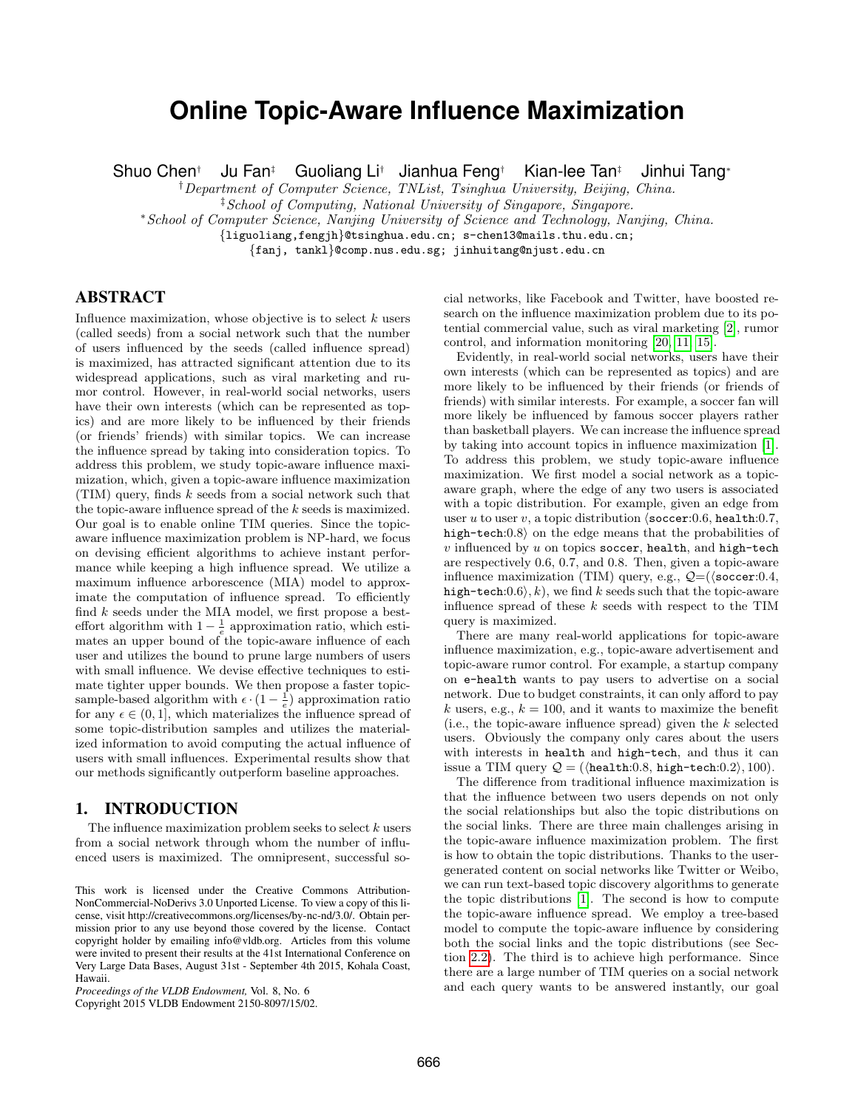# **Online Topic-Aware Influence Maximization**

Shuo Chen† Ju Fan‡ Guoliang Li† Jianhua Feng† Kian-lee Tan‡ Jinhui Tang<sup>∗</sup>

<sup>†</sup>Department of Computer Science, TNList, Tsinghua University, Beijing, China.

‡School of Computing, National University of Singapore, Singapore.

<sup>∗</sup>School of Computer Science, Nanjing University of Science and Technology, Nanjing, China.

{liguoliang,fengjh}@tsinghua.edu.cn; s-chen13@mails.thu.edu.cn;

{fanj, tankl}@comp.nus.edu.sg; jinhuitang@njust.edu.cn

# ABSTRACT

Influence maximization, whose objective is to select  $k$  users (called seeds) from a social network such that the number of users influenced by the seeds (called influence spread) is maximized, has attracted significant attention due to its widespread applications, such as viral marketing and rumor control. However, in real-world social networks, users have their own interests (which can be represented as topics) and are more likely to be influenced by their friends (or friends' friends) with similar topics. We can increase the influence spread by taking into consideration topics. To address this problem, we study topic-aware influence maximization, which, given a topic-aware influence maximization (TIM) query, finds k seeds from a social network such that the topic-aware influence spread of the k seeds is maximized. Our goal is to enable online TIM queries. Since the topicaware influence maximization problem is NP-hard, we focus on devising efficient algorithms to achieve instant performance while keeping a high influence spread. We utilize a maximum influence arborescence (MIA) model to approximate the computation of influence spread. To efficiently find k seeds under the MIA model, we first propose a besteffort algorithm with  $1 - \frac{1}{e}$  approximation ratio, which estimates an upper bound of the topic-aware influence of each user and utilizes the bound to prune large numbers of users with small influence. We devise effective techniques to estimate tighter upper bounds. We then propose a faster topicsample-based algorithm with  $\epsilon \cdot (1 - \frac{1}{e})$  approximation ratio for any  $\epsilon \in (0, 1]$ , which materializes the influence spread of some topic-distribution samples and utilizes the materialized information to avoid computing the actual influence of users with small influences. Experimental results show that our methods significantly outperform baseline approaches.

# 1. INTRODUCTION

The influence maximization problem seeks to select  $k$  users from a social network through whom the number of influenced users is maximized. The omnipresent, successful so-

Copyright 2015 VLDB Endowment 2150-8097/15/02.

cial networks, like Facebook and Twitter, have boosted research on the influence maximization problem due to its potential commercial value, such as viral marketing [\[2\]](#page-11-0), rumor control, and information monitoring [\[20,](#page-11-1) [11,](#page-11-2) [15\]](#page-11-3).

Evidently, in real-world social networks, users have their own interests (which can be represented as topics) and are more likely to be influenced by their friends (or friends of friends) with similar interests. For example, a soccer fan will more likely be influenced by famous soccer players rather than basketball players. We can increase the influence spread by taking into account topics in influence maximization [\[1\]](#page-11-4). To address this problem, we study topic-aware influence maximization. We first model a social network as a topicaware graph, where the edge of any two users is associated with a topic distribution. For example, given an edge from user u to user v, a topic distribution  $\sqrt{\secer:0.6}$ , health:0.7, high-tech: $0.8$  on the edge means that the probabilities of  $v$  influenced by  $u$  on topics soccer, health, and high-tech are respectively 0.6, 0.7, and 0.8. Then, given a topic-aware influence maximization (TIM) query, e.g.,  $\mathcal{Q} = (\langle \text{soccer:0.4},$ high-tech: $(0.6)$ , k), we find k seeds such that the topic-aware influence spread of these  $k$  seeds with respect to the TIM query is maximized.

There are many real-world applications for topic-aware influence maximization, e.g., topic-aware advertisement and topic-aware rumor control. For example, a startup company on e-health wants to pay users to advertise on a social network. Due to budget constraints, it can only afford to pay k users, e.g.,  $k = 100$ , and it wants to maximize the benefit (i.e., the topic-aware influence spread) given the  $k$  selected users. Obviously the company only cares about the users with interests in health and high-tech, and thus it can issue a TIM query  $Q = (\{$ health:0.8, high-tech:0.2 $\rangle$ , 100 $)$ .

The difference from traditional influence maximization is that the influence between two users depends on not only the social relationships but also the topic distributions on the social links. There are three main challenges arising in the topic-aware influence maximization problem. The first is how to obtain the topic distributions. Thanks to the usergenerated content on social networks like Twitter or Weibo, we can run text-based topic discovery algorithms to generate the topic distributions [\[1\]](#page-11-4). The second is how to compute the topic-aware influence spread. We employ a tree-based model to compute the topic-aware influence by considering both the social links and the topic distributions (see Section [2.2\)](#page-1-0). The third is to achieve high performance. Since there are a large number of TIM queries on a social network and each query wants to be answered instantly, our goal

This work is licensed under the Creative Commons Attribution-NonCommercial-NoDerivs 3.0 Unported License. To view a copy of this license, visit http://creativecommons.org/licenses/by-nc-nd/3.0/. Obtain permission prior to any use beyond those covered by the license. Contact copyright holder by emailing info@vldb.org. Articles from this volume were invited to present their results at the 41st International Conference on Very Large Data Bases, August 31st - September 4th 2015, Kohala Coast, Hawaii.

*Proceedings of the VLDB Endowment,* Vol. 8, No. 6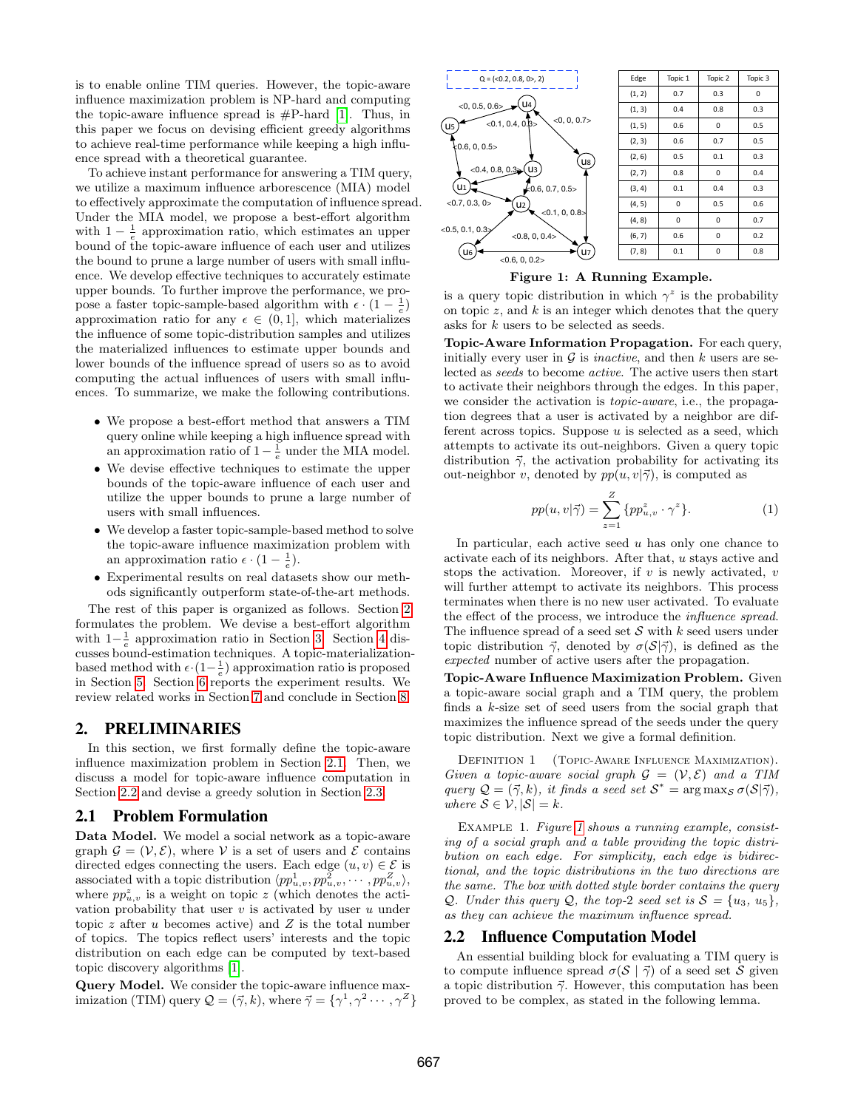is to enable online TIM queries. However, the topic-aware influence maximization problem is NP-hard and computing the topic-aware influence spread is  $#P$ -hard [\[1\]](#page-11-4). Thus, in this paper we focus on devising efficient greedy algorithms to achieve real-time performance while keeping a high influence spread with a theoretical guarantee.

To achieve instant performance for answering a TIM query, we utilize a maximum influence arborescence (MIA) model to effectively approximate the computation of influence spread. Under the MIA model, we propose a best-effort algorithm with  $1 - \frac{1}{e}$  approximation ratio, which estimates an upper bound of the topic-aware influence of each user and utilizes the bound to prune a large number of users with small influence. We develop effective techniques to accurately estimate upper bounds. To further improve the performance, we propose a faster topic-sample-based algorithm with  $\epsilon \cdot (1 - \frac{1}{e})$ approximation ratio for any  $\epsilon \in (0,1]$ , which materializes the influence of some topic-distribution samples and utilizes the materialized influences to estimate upper bounds and lower bounds of the influence spread of users so as to avoid computing the actual influences of users with small influences. To summarize, we make the following contributions.

- We propose a best-effort method that answers a TIM query online while keeping a high influence spread with an approximation ratio of  $1 - \frac{1}{e}$  under the MIA model.
- We devise effective techniques to estimate the upper bounds of the topic-aware influence of each user and utilize the upper bounds to prune a large number of users with small influences.
- We develop a faster topic-sample-based method to solve the topic-aware influence maximization problem with an approximation ratio  $\epsilon \cdot (1 - \frac{1}{e}).$
- Experimental results on real datasets show our methods significantly outperform state-of-the-art methods.

The rest of this paper is organized as follows. Section [2](#page-1-1) formulates the problem. We devise a best-effort algorithm with  $1-\frac{1}{e}$  approximation ratio in Section [3.](#page-2-0) Section [4](#page-4-0) discusses bound-estimation techniques. A topic-materializationbased method with  $\epsilon \cdot (1 - \frac{1}{e})$  approximation ratio is proposed in Section [5.](#page-7-0) Section [6](#page-8-0) reports the experiment results. We review related works in Section [7](#page-10-0) and conclude in Section [8.](#page-11-5)

## <span id="page-1-1"></span>2. PRELIMINARIES

In this section, we first formally define the topic-aware influence maximization problem in Section [2.1.](#page-1-2) Then, we discuss a model for topic-aware influence computation in Section [2.2](#page-1-0) and devise a greedy solution in Section [2.3.](#page-2-1)

## <span id="page-1-2"></span>2.1 Problem Formulation

Data Model. We model a social network as a topic-aware graph  $\mathcal{G} = (\mathcal{V}, \mathcal{E})$ , where V is a set of users and  $\mathcal{E}$  contains directed edges connecting the users. Each edge  $(u, v) \in \mathcal{E}$  is associated with a topic distribution  $\langle pp_{u,v}^1, pp_{u,v}^2, \cdots, pp_{u,v}^Z \rangle$ , where  $pp_{u,v}^z$  is a weight on topic z (which denotes the activation probability that user  $v$  is activated by user  $u$  under topic  $z$  after  $u$  becomes active) and  $Z$  is the total number of topics. The topics reflect users' interests and the topic distribution on each edge can be computed by text-based topic discovery algorithms [\[1\]](#page-11-4).

Query Model. We consider the topic-aware influence maximization (TIM) query  $\mathcal{Q} = (\vec{\gamma}, k)$ , where  $\vec{\gamma} = {\gamma^1, \gamma^2 \cdots, \gamma^Z}$ 



<span id="page-1-3"></span>Figure 1: A Running Example.

is a query topic distribution in which  $\gamma^z$  is the probability on topic  $z$ , and  $k$  is an integer which denotes that the query asks for k users to be selected as seeds.

Topic-Aware Information Propagation. For each query, initially every user in  $\mathcal G$  is *inactive*, and then k users are selected as seeds to become active. The active users then start to activate their neighbors through the edges. In this paper, we consider the activation is topic-aware, i.e., the propagation degrees that a user is activated by a neighbor are different across topics. Suppose  $u$  is selected as a seed, which attempts to activate its out-neighbors. Given a query topic distribution  $\vec{\gamma}$ , the activation probability for activating its out-neighbor v, denoted by  $pp(u, v|\vec{\gamma})$ , is computed as

<span id="page-1-4"></span>
$$
pp(u, v|\vec{\gamma}) = \sum_{z=1}^{Z} \{pp_{u,v}^z \cdot \gamma^z\}.
$$
 (1)

In particular, each active seed  $u$  has only one chance to activate each of its neighbors. After that, u stays active and stops the activation. Moreover, if  $v$  is newly activated,  $v$ will further attempt to activate its neighbors. This process terminates when there is no new user activated. To evaluate the effect of the process, we introduce the influence spread. The influence spread of a seed set  $S$  with  $k$  seed users under topic distribution  $\vec{\gamma}$ , denoted by  $\sigma(\mathcal{S}|\vec{\gamma})$ , is defined as the expected number of active users after the propagation.

Topic-Aware Influence Maximization Problem. Given a topic-aware social graph and a TIM query, the problem finds a  $k$ -size set of seed users from the social graph that maximizes the influence spread of the seeds under the query topic distribution. Next we give a formal definition.

DEFINITION 1 (TOPIC-AWARE INFLUENCE MAXIMIZATION). Given a topic-aware social graph  $\mathcal{G} = (\mathcal{V}, \mathcal{E})$  and a TIM query  $Q = (\vec{\gamma}, k)$ , it finds a seed set  $S^* = \arg \max_{S} \sigma(S|\vec{\gamma})$ , where  $S \in \mathcal{V}, |\mathcal{S}| = k$ .

EXAMPLE [1](#page-1-3). Figure 1 shows a running example, consisting of a social graph and a table providing the topic distribution on each edge. For simplicity, each edge is bidirectional, and the topic distributions in the two directions are the same. The box with dotted style border contains the query Q. Under this query Q, the top-2 seed set is  $S = \{u_3, u_5\},\$ as they can achieve the maximum influence spread.

### <span id="page-1-0"></span>2.2 Influence Computation Model

An essential building block for evaluating a TIM query is to compute influence spread  $\sigma(\mathcal{S} \mid \vec{\gamma})$  of a seed set S given a topic distribution  $\vec{\gamma}$ . However, this computation has been proved to be complex, as stated in the following lemma.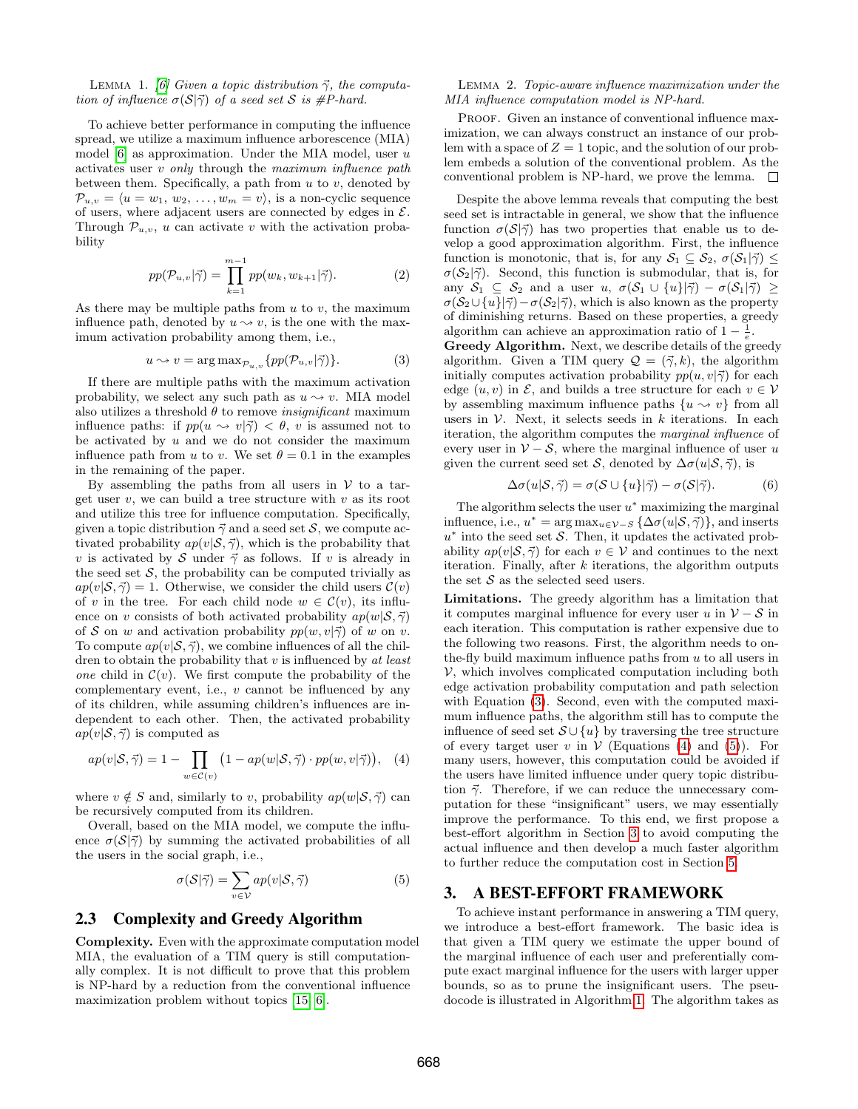LEMMA 1. [\[6\]](#page-11-6) Given a topic distribution  $\vec{\gamma}$ , the computation of influence  $\sigma(S|\vec{\gamma})$  of a seed set S is #P-hard.

To achieve better performance in computing the influence spread, we utilize a maximum influence arborescence (MIA) model  $[6]$  as approximation. Under the MIA model, user u activates user  $v$  only through the maximum influence path between them. Specifically, a path from  $u$  to  $v$ , denoted by  $\mathcal{P}_{u,v} = \langle u = w_1, w_2, \ldots, w_m = v \rangle$ , is a non-cyclic sequence of users, where adjacent users are connected by edges in  $\mathcal{E}$ . Through  $\mathcal{P}_{u,v}$ , u can activate v with the activation probability

<span id="page-2-6"></span>
$$
pp(\mathcal{P}_{u,v}|\vec{\gamma}) = \prod_{k=1}^{m-1} pp(w_k, w_{k+1}|\vec{\gamma}).
$$
 (2)

As there may be multiple paths from  $u$  to  $v$ , the maximum influence path, denoted by  $u \sim v$ , is the one with the maximum activation probability among them, i.e.,

<span id="page-2-2"></span>
$$
u \leadsto v = \arg \max_{\mathcal{P}_{u,v}} \{pp(\mathcal{P}_{u,v}|\vec{\gamma})\}.
$$
 (3)

If there are multiple paths with the maximum activation probability, we select any such path as  $u \sim v$ . MIA model also utilizes a threshold  $\theta$  to remove  $\it insignificant$  maximum influence paths: if  $pp(u \sim v|\vec{\gamma}) < \theta$ , v is assumed not to be activated by  $u$  and we do not consider the maximum influence path from u to v. We set  $\theta = 0.1$  in the examples in the remaining of the paper.

By assembling the paths from all users in  $V$  to a target user  $v$ , we can build a tree structure with  $v$  as its root and utilize this tree for influence computation. Specifically, given a topic distribution  $\vec{\gamma}$  and a seed set S, we compute activated probability  $ap(v|\mathcal{S}, \vec{\gamma})$ , which is the probability that v is activated by S under  $\vec{\gamma}$  as follows. If v is already in the seed set  $S$ , the probability can be computed trivially as  $ap(v|\mathcal{S}, \vec{\gamma}) = 1$ . Otherwise, we consider the child users  $\mathcal{C}(v)$ of v in the tree. For each child node  $w \in \mathcal{C}(v)$ , its influence on v consists of both activated probability  $ap(w|S, \vec{\gamma})$ of S on w and activation probability  $pp(w, v | \vec{\gamma})$  of w on v. To compute  $ap(v|\mathcal{S}, \vec{\gamma})$ , we combine influences of all the children to obtain the probability that  $v$  is influenced by  $at$  least one child in  $\mathcal{C}(v)$ . We first compute the probability of the complementary event, i.e.,  $v$  cannot be influenced by any of its children, while assuming children's influences are independent to each other. Then, the activated probability  $ap(v|\mathcal{S}, \vec{\gamma})$  is computed as

<span id="page-2-3"></span>
$$
ap(v|S,\vec{\gamma}) = 1 - \prod_{w \in \mathcal{C}(v)} \left(1 - ap(w|S,\vec{\gamma}) \cdot pp(w,v|\vec{\gamma})\right), \quad (4)
$$

where  $v \notin S$  and, similarly to v, probability  $ap(w|S, \vec{\gamma})$  can be recursively computed from its children.

Overall, based on the MIA model, we compute the influence  $\sigma(\mathcal{S}|\vec{\gamma})$  by summing the activated probabilities of all the users in the social graph, i.e.,

<span id="page-2-4"></span>
$$
\sigma(S|\vec{\gamma}) = \sum_{v \in \mathcal{V}} ap(v|S, \vec{\gamma})
$$
\n(5)

## <span id="page-2-1"></span>2.3 Complexity and Greedy Algorithm

Complexity. Even with the approximate computation model MIA, the evaluation of a TIM query is still computationally complex. It is not difficult to prove that this problem is NP-hard by a reduction from the conventional influence maximization problem without topics [\[15,](#page-11-3) [6\]](#page-11-6).

#### Lemma 2. Topic-aware influence maximization under the MIA influence computation model is NP-hard.

PROOF. Given an instance of conventional influence maximization, we can always construct an instance of our problem with a space of  $Z = 1$  topic, and the solution of our problem embeds a solution of the conventional problem. As the conventional problem is NP-hard, we prove the lemma.  $\square$ 

Despite the above lemma reveals that computing the best seed set is intractable in general, we show that the influence function  $\sigma(S|\vec{\gamma})$  has two properties that enable us to develop a good approximation algorithm. First, the influence function is monotonic, that is, for any  $S_1 \subseteq S_2$ ,  $\sigma(S_1|\vec{\gamma}) \leq$  $\sigma(S_2|\vec{\gamma})$ . Second, this function is submodular, that is, for any  $S_1 \subseteq S_2$  and a user  $u, \sigma(S_1 \cup \{u\}|\vec{\gamma}) - \sigma(S_1|\vec{\gamma}) \geq$  $\sigma(S_2\cup\{u\}|\vec{\gamma})-\sigma(S_2|\vec{\gamma})$ , which is also known as the property of diminishing returns. Based on these properties, a greedy algorithm can achieve an approximation ratio of  $1 - \frac{1}{e}$ .

Greedy Algorithm. Next, we describe details of the greedy algorithm. Given a TIM query  $\mathcal{Q} = (\vec{\gamma}, k)$ , the algorithm initially computes activation probability  $pp(u, v|\vec{\gamma})$  for each edge  $(u, v)$  in  $\mathcal{E}$ , and builds a tree structure for each  $v \in \mathcal{V}$ by assembling maximum influence paths  $\{u \leadsto v\}$  from all users in  $V$ . Next, it selects seeds in  $k$  iterations. In each iteration, the algorithm computes the marginal influence of every user in  $V - S$ , where the marginal influence of user u given the current seed set S, denoted by  $\Delta \sigma(u|S, \vec{\gamma})$ , is

<span id="page-2-5"></span>
$$
\Delta \sigma(u|\mathcal{S}, \vec{\gamma}) = \sigma(\mathcal{S} \cup \{u\}|\vec{\gamma}) - \sigma(\mathcal{S}|\vec{\gamma}). \tag{6}
$$

The algorithm selects the user  $u^*$  maximizing the marginal influence, i.e.,  $u^* = \arg \max_{u \in \mathcal{V}-S} {\Delta \sigma(u|\mathcal{S}, \vec{\gamma})}$ , and inserts  $u^*$  into the seed set S. Then, it updates the activated probability  $ap(v|\mathcal{S}, \vec{\gamma})$  for each  $v \in \mathcal{V}$  and continues to the next iteration. Finally, after  $k$  iterations, the algorithm outputs the set  $S$  as the selected seed users.

Limitations. The greedy algorithm has a limitation that it computes marginal influence for every user u in  $\mathcal{V} - \mathcal{S}$  in each iteration. This computation is rather expensive due to the following two reasons. First, the algorithm needs to onthe-fly build maximum influence paths from  $u$  to all users in  $V$ , which involves complicated computation including both edge activation probability computation and path selection with Equation [\(3\)](#page-2-2). Second, even with the computed maximum influence paths, the algorithm still has to compute the influence of seed set  $\mathcal{S} \cup \{u\}$  by traversing the tree structure of every target user v in  $V$  (Equations [\(4\)](#page-2-3) and [\(5\)](#page-2-4)). For many users, however, this computation could be avoided if the users have limited influence under query topic distribution  $\vec{\gamma}$ . Therefore, if we can reduce the unnecessary computation for these "insignificant" users, we may essentially improve the performance. To this end, we first propose a best-effort algorithm in Section [3](#page-2-0) to avoid computing the actual influence and then develop a much faster algorithm to further reduce the computation cost in Section [5.](#page-7-0)

# <span id="page-2-0"></span>3. A BEST-EFFORT FRAMEWORK

To achieve instant performance in answering a TIM query, we introduce a best-effort framework. The basic idea is that given a TIM query we estimate the upper bound of the marginal influence of each user and preferentially compute exact marginal influence for the users with larger upper bounds, so as to prune the insignificant users. The pseudocode is illustrated in Algorithm [1.](#page-3-0) The algorithm takes as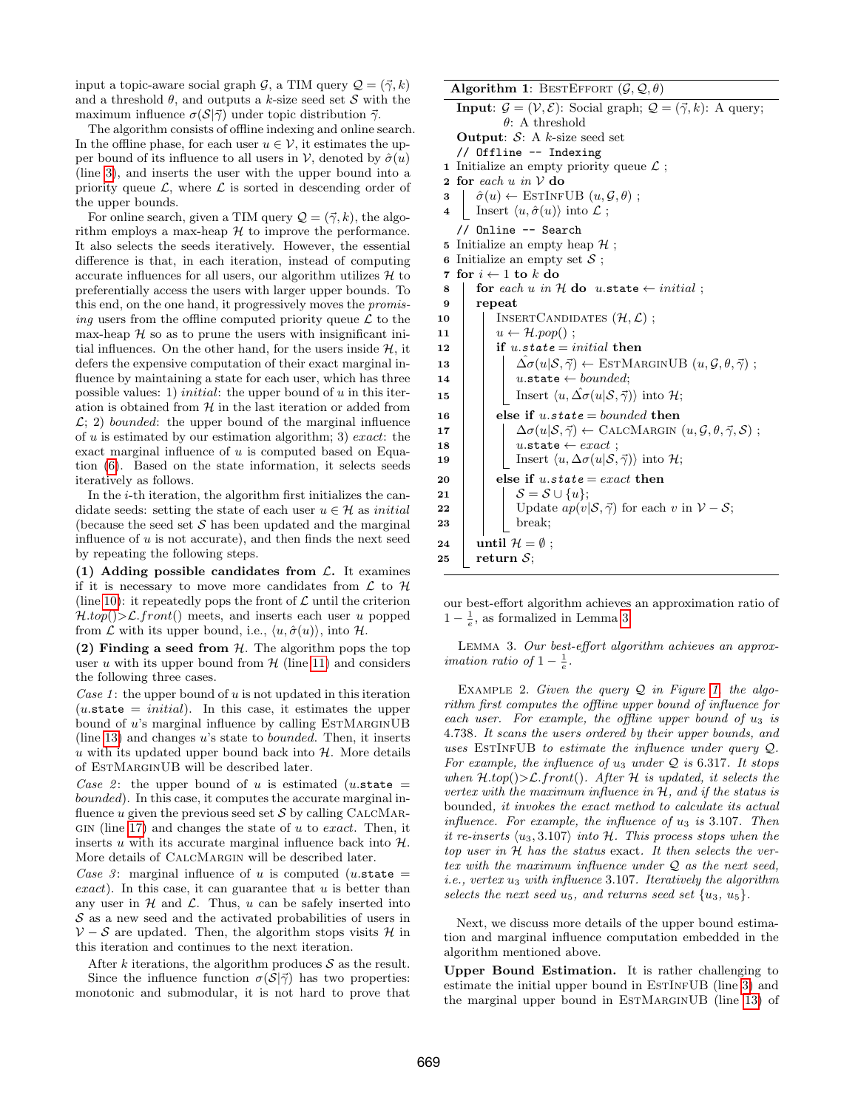input a topic-aware social graph G, a TIM query  $\mathcal{Q} = (\vec{\gamma}, k)$ and a threshold  $\theta$ , and outputs a k-size seed set S with the maximum influence  $\sigma(S|\vec{\gamma})$  under topic distribution  $\vec{\gamma}$ .

The algorithm consists of offline indexing and online search. In the offline phase, for each user  $u \in V$ , it estimates the upper bound of its influence to all users in  $\mathcal V$ , denoted by  $\hat{\sigma}(u)$ (line [3\)](#page-3-1), and inserts the user with the upper bound into a priority queue  $\mathcal{L}$ , where  $\mathcal{L}$  is sorted in descending order of the upper bounds.

For online search, given a TIM query  $\mathcal{Q} = (\vec{\gamma}, k)$ , the algorithm employs a max-heap  $H$  to improve the performance. It also selects the seeds iteratively. However, the essential difference is that, in each iteration, instead of computing accurate influences for all users, our algorithm utilizes  $H$  to preferentially access the users with larger upper bounds. To this end, on the one hand, it progressively moves the promising users from the offline computed priority queue  $\mathcal L$  to the max-heap  $H$  so as to prune the users with insignificant initial influences. On the other hand, for the users inside  $H$ , it defers the expensive computation of their exact marginal influence by maintaining a state for each user, which has three possible values: 1) *initial*: the upper bound of  $u$  in this iteration is obtained from  $H$  in the last iteration or added from  $\mathcal{L}$ ; 2) bounded: the upper bound of the marginal influence of u is estimated by our estimation algorithm; 3) exact: the exact marginal influence of  $u$  is computed based on Equation [\(6\)](#page-2-5). Based on the state information, it selects seeds iteratively as follows.

In the *i*-th iteration, the algorithm first initializes the candidate seeds: setting the state of each user  $u \in \mathcal{H}$  as *initial* (because the seed set  $S$  has been updated and the marginal influence of  $u$  is not accurate), and then finds the next seed by repeating the following steps.

(1) Adding possible candidates from  $\mathcal{L}$ . It examines if it is necessary to move more candidates from  $\mathcal L$  to  $\mathcal H$ (line [10\)](#page-3-2): it repeatedly pops the front of  $\mathcal L$  until the criterion  $H.top(\mathcal{D}\subset\mathcal{L}.front)$  meets, and inserts each user u popped from  $\mathcal L$  with its upper bound, i.e.,  $\langle u, \hat{\sigma}(u) \rangle$ , into  $\mathcal H$ .

(2) Finding a seed from  $H$ . The algorithm pops the top user  $u$  with its upper bound from  $H$  (line [11\)](#page-3-3) and considers the following three cases.

Case 1: the upper bound of  $u$  is not updated in this iteration  $($ u.state = *initial* $)$ . In this case, it estimates the upper bound of  $u$ 's marginal influence by calling  $ESTMARGINUB$ (line [13\)](#page-3-4) and changes u's state to bounded. Then, it inserts  $u$  with its updated upper bound back into  $H$ . More details of EstMarginUB will be described later.

Case 2: the upper bound of u is estimated (u.state = bounded). In this case, it computes the accurate marginal influence u given the previous seed set  $\mathcal S$  by calling CALCMAR-GIN (line [17\)](#page-3-5) and changes the state of  $u$  to exact. Then, it inserts u with its accurate marginal influence back into  $H$ . More details of CalcMargin will be described later.

Case 3: marginal influence of u is computed (u.state  $=$ exact). In this case, it can guarantee that  $u$  is better than any user in  $H$  and  $L$ . Thus, u can be safely inserted into  $S$  as a new seed and the activated probabilities of users in  $V - S$  are updated. Then, the algorithm stops visits H in this iteration and continues to the next iteration.

After  $k$  iterations, the algorithm produces  $S$  as the result. Since the influence function  $\sigma(S|\vec{\gamma})$  has two properties: monotonic and submodular, it is not hard to prove that

<span id="page-3-3"></span><span id="page-3-2"></span><span id="page-3-1"></span><span id="page-3-0"></span>

|    | <b>Algorithm 1:</b> BESTEFFORT $(\mathcal{G}, \mathcal{Q}, \theta)$                                                            |  |  |  |  |  |  |
|----|--------------------------------------------------------------------------------------------------------------------------------|--|--|--|--|--|--|
|    | <b>Input:</b> $\mathcal{G} = (\mathcal{V}, \mathcal{E})$ : Social graph; $\mathcal{Q} = (\vec{\gamma}, k)$ : A query;          |  |  |  |  |  |  |
|    | $\theta$ : A threshold                                                                                                         |  |  |  |  |  |  |
|    | <b>Output:</b> $S$ : A k-size seed set                                                                                         |  |  |  |  |  |  |
|    | // Offline -- Indexing                                                                                                         |  |  |  |  |  |  |
|    | 1 Initialize an empty priority queue $\mathcal{L}$ ;                                                                           |  |  |  |  |  |  |
|    | 2 for each u in $\mathcal V$ do                                                                                                |  |  |  |  |  |  |
| 3  | $\hat{\sigma}(u) \leftarrow \text{ESTINFUB}(u, \mathcal{G}, \theta);$                                                          |  |  |  |  |  |  |
| 4  | Insert $\langle u, \hat{\sigma}(u) \rangle$ into $\mathcal{L}$ ;                                                               |  |  |  |  |  |  |
|    | // Online -- Search                                                                                                            |  |  |  |  |  |  |
| 5  | Initialize an empty heap $\mathcal{H}$ ;                                                                                       |  |  |  |  |  |  |
| 6  | Initialize an empty set $S$ ;                                                                                                  |  |  |  |  |  |  |
| 7  | for $i \leftarrow 1$ to k do                                                                                                   |  |  |  |  |  |  |
| 8  | for each u in $H$ do u.state $\leftarrow$ initial;                                                                             |  |  |  |  |  |  |
| 9  | repeat                                                                                                                         |  |  |  |  |  |  |
| 10 | INSERT CANDIDATES $(\mathcal{H}, \mathcal{L})$ ;                                                                               |  |  |  |  |  |  |
| 11 | $u \leftarrow \mathcal{H} . pop()$ ;                                                                                           |  |  |  |  |  |  |
| 12 | if $u.state = initial$ then                                                                                                    |  |  |  |  |  |  |
| 13 | $\hat{\Delta\sigma}(u \mathcal{S}, \vec{\gamma}) \leftarrow \text{EstMARGINUB}(u, \mathcal{G}, \theta, \vec{\gamma})$ ;        |  |  |  |  |  |  |
| 14 | $u.\mathtt{state} \leftarrow bounded;$                                                                                         |  |  |  |  |  |  |
| 15 | Insert $\langle u, \hat{\Delta \sigma}(u \mathcal{S}, \vec{\gamma}) \rangle$ into $\mathcal{H}$ ;                              |  |  |  |  |  |  |
| 16 | else if u.state = bounded then                                                                                                 |  |  |  |  |  |  |
| 17 | $\Delta \sigma(u \mathcal{S}, \vec{\gamma}) \leftarrow \text{CALCMARGIN}(u, \mathcal{G}, \theta, \vec{\gamma}, \mathcal{S})$ ; |  |  |  |  |  |  |
| 18 | u.state $\leftarrow exact$ ;                                                                                                   |  |  |  |  |  |  |
| 19 | Insert $\langle u, \Delta \sigma(u \mathcal{S}, \vec{\gamma}) \rangle$ into $\mathcal{H}$ ;                                    |  |  |  |  |  |  |
| 20 | else if u.state = exact then                                                                                                   |  |  |  |  |  |  |
| 21 | $\mathcal{S} = \mathcal{S} \cup \{u\};$                                                                                        |  |  |  |  |  |  |
| 22 | Update $ap(v \mathcal{S}, \vec{\gamma})$ for each v in $\mathcal{V} - \mathcal{S}$ ;                                           |  |  |  |  |  |  |
| 23 | break;                                                                                                                         |  |  |  |  |  |  |
| 24 | until $\mathcal{H} = \emptyset$ ;                                                                                              |  |  |  |  |  |  |
| 25 | return $S$ ;                                                                                                                   |  |  |  |  |  |  |

<span id="page-3-5"></span><span id="page-3-4"></span>our best-effort algorithm achieves an approximation ratio of  $1-\frac{1}{e}$ , as formalized in Lemma [3.](#page-3-6)

<span id="page-3-6"></span>Lemma 3. Our best-effort algorithm achieves an approx*imation ratio of*  $1 - \frac{1}{e}$ .

EXAMPLE 2. Given the query  $Q$  in Figure [1,](#page-1-3) the algorithm first computes the offline upper bound of influence for each user. For example, the offline upper bound of  $u_3$  is 4.738. It scans the users ordered by their upper bounds, and uses ESTINFUB to estimate the influence under query  $Q$ . For example, the influence of  $u_3$  under  $Q$  is 6.317. It stops when  $\mathcal{H}.\mathit{top}(\mathcal{P}\mathcal{L}.front(\mathcal{P}\mathcal{L}.ffert\mathcal{H}is updated, it selects the$ vertex with the maximum influence in H, and if the status is bounded, it invokes the exact method to calculate its actual influence. For example, the influence of  $u_3$  is 3.107. Then it re-inserts  $\langle u_3, 3.107 \rangle$  into H. This process stops when the top user in  $H$  has the status exact. It then selects the vertex with the maximum influence under Q as the next seed, *i.e.*, vertex  $u_3$  with influence 3.107. Iteratively the algorithm selects the next seed  $u_5$ , and returns seed set  $\{u_3, u_5\}.$ 

Next, we discuss more details of the upper bound estimation and marginal influence computation embedded in the algorithm mentioned above.

Upper Bound Estimation. It is rather challenging to estimate the initial upper bound in ESTINFUB (line [3\)](#page-3-1) and the marginal upper bound in EstMarginUB (line [13\)](#page-3-4) of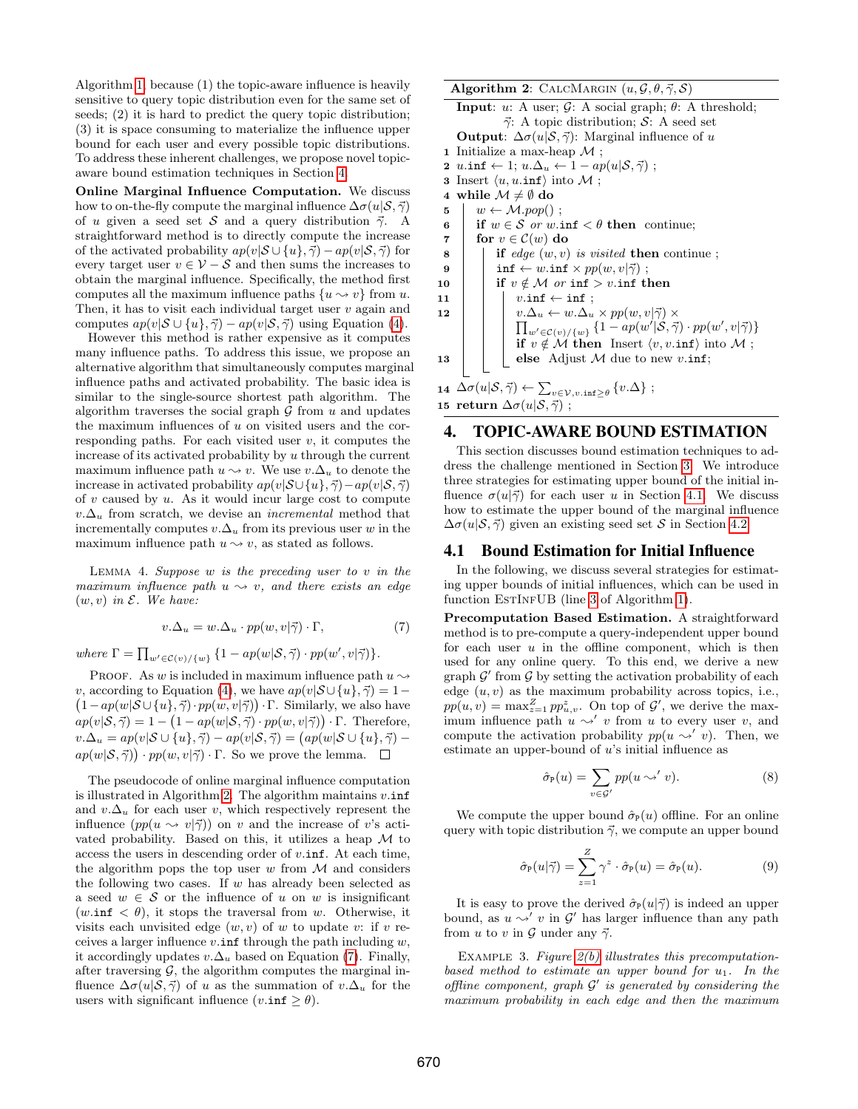Algorithm [1,](#page-3-0) because (1) the topic-aware influence is heavily sensitive to query topic distribution even for the same set of seeds; (2) it is hard to predict the query topic distribution; (3) it is space consuming to materialize the influence upper bound for each user and every possible topic distributions. To address these inherent challenges, we propose novel topicaware bound estimation techniques in Section [4.](#page-4-0)

Online Marginal Influence Computation. We discuss how to on-the-fly compute the marginal influence  $\Delta \sigma(u|\mathcal{S}, \vec{\gamma})$ of u given a seed set S and a query distribution  $\vec{\gamma}$ . A straightforward method is to directly compute the increase of the activated probability  $ap(v|\mathcal{S} \cup \{u\}, \vec{\gamma}) - ap(v|\mathcal{S}, \vec{\gamma})$  for every target user  $v \in \mathcal{V} - \mathcal{S}$  and then sums the increases to obtain the marginal influence. Specifically, the method first computes all the maximum influence paths  $\{u \leadsto v\}$  from u. Then, it has to visit each individual target user  $v$  again and computes  $ap(v|\mathcal{S} \cup \{u\}, \vec{\gamma}) - ap(v|\mathcal{S}, \vec{\gamma})$  using Equation [\(4\)](#page-2-3).

However this method is rather expensive as it computes many influence paths. To address this issue, we propose an alternative algorithm that simultaneously computes marginal influence paths and activated probability. The basic idea is similar to the single-source shortest path algorithm. The algorithm traverses the social graph  $\mathcal G$  from  $u$  and updates the maximum influences of  $u$  on visited users and the corresponding paths. For each visited user  $v$ , it computes the increase of its activated probability by  $u$  through the current maximum influence path  $u \sim v$ . We use  $v.\Delta_u$  to denote the increase in activated probability  $ap(v|S \cup \{u\}, \vec{\gamma}) - ap(v|S, \vec{\gamma})$ of  $v$  caused by  $u$ . As it would incur large cost to compute  $v.\Delta_u$  from scratch, we devise an *incremental* method that incrementally computes  $v.\Delta_u$  from its previous user w in the maximum influence path  $u \sim v$ , as stated as follows.

LEMMA 4. Suppose  $w$  is the preceding user to  $v$  in the maximum influence path  $u \rightarrow v$ , and there exists an edge  $(w, v)$  in  $\mathcal{E}$ . We have:

<span id="page-4-2"></span>
$$
v.\Delta_u = w.\Delta_u \cdot pp(w, v|\vec{\gamma}) \cdot \Gamma,
$$
\n<sup>(7)</sup>

where  $\Gamma = \prod_{w' \in \mathcal{C}(v)/\{w\}} \{1 - ap(w|S, \vec{\gamma}) \cdot pp(w', v|\vec{\gamma})\}.$ 

PROOF. As w is included in maximum influence path  $u \sim$  $(1 - ap(w|S \cup \{u\}, \vec{\gamma}) \cdot pp(w, v|\vec{\gamma})) \cdot \Gamma$ . Similarly, we also have v, according to Equation [\(4\)](#page-2-3), we have  $ap(v|\mathcal{S} \cup \{u\}, \vec{\gamma}) = 1-\gamma$  $ap(v|\mathcal{S}, \vec{\gamma}) = 1 - (1 - ap(w|\mathcal{S}, \vec{\gamma}) \cdot pp(w, v|\vec{\gamma})) \cdot \Gamma$ . Therefore,  $v.\Delta_u = ap(v|\mathcal{S} \cup \{u\}, \vec{\gamma}) - ap(v|\mathcal{S}, \vec{\gamma}) = (ap(w|\mathcal{S} \cup \{u\}, \vec{\gamma})$  $ap(w|\mathcal{S}, \vec{\gamma})\cdot pp(w, v|\vec{\gamma})\cdot \Gamma$ . So we prove the lemma.

The pseudocode of online marginal influence computation is illustrated in Algorithm [2.](#page-4-1) The algorithm maintains  $v.\inf$ and  $v.\Delta_u$  for each user v, which respectively represent the influence  $(pp(u \leadsto v|\vec{\gamma}))$  on v and the increase of v's activated probability. Based on this, it utilizes a heap  $\mathcal M$  to access the users in descending order of  $v.\text{inf.}$  At each time, the algorithm pops the top user  $w$  from  $\mathcal M$  and considers the following two cases. If  $w$  has already been selected as a seed  $w \in \mathcal{S}$  or the influence of u on w is insignificant  $(w.\inf < \theta)$ , it stops the traversal from w. Otherwise, it visits each unvisited edge  $(w, v)$  of w to update v: if v receives a larger influence  $v.\text{inf}$  through the path including  $w$ , it accordingly updates  $v.\Delta_u$  based on Equation [\(7\)](#page-4-2). Finally, after traversing  $G$ , the algorithm computes the marginal influence  $\Delta \sigma(u|\mathcal{S}, \vec{\gamma})$  of u as the summation of  $v.\Delta_u$  for the users with significant influence  $(v.\text{inf } \geq \theta)$ .

<span id="page-4-1"></span>Algorithm 2: CALCMARGIN  $(u, \mathcal{G}, \theta, \vec{\gamma}, \mathcal{S})$ 

**Input:** u: A user;  $\mathcal{G}$ : A social graph;  $\theta$ : A threshold;  $\vec{\gamma}$ : A topic distribution; S: A seed set **Output**:  $\Delta \sigma(u|\mathcal{S}, \vec{\gamma})$ : Marginal influence of u 1 Initialize a max-heap  $\mathcal M$ ; 2 u.inf  $\leftarrow 1$ ;  $u.\Delta_u \leftarrow 1 - ap(u|\mathcal{S}, \vec{\gamma})$ ; 3 Insert  $\langle u, u.\text{inf}\rangle$  into M; 4 while  $\mathcal{M} \neq \emptyset$  do  $5 \mid w \leftarrow \mathcal{M}.\mathit{pop}()$ ; 6 if  $w \in \mathcal{S}$  or w.inf  $\lt \theta$  then continue; 7 for  $v \in \mathcal{C}(w)$  do 8 if  $edge(w, v)$  is visited then continue; 9  $\vert$  inf  $\leftarrow w$ .inf  $\times pp(w, v | \vec{\gamma})$ ; 10 if  $v \notin M$  or inf > v.inf then 11 <br>
12  $\begin{array}{|c|c|c|c|c|}\n\hline\n& v.inf \leftarrow \inf ;\ v.\Delta_u \leftarrow w.\Delta_u \times pp(w,v|\vec{\gamma}) \times \end{array}$ 12  $v.\Delta_u \leftarrow w.\Delta_u \times pp(w, v | \vec{\gamma}) \times \prod_{w' \in C(v)/\{w\}} \{1 - ap(w' | \mathcal{S}, \vec{\gamma}) \cdot pp(w', v | \vec{\gamma})\}$ if  $v \notin \mathcal{M}$  then Insert  $\langle v, v.\text{inf}\rangle$  into  $\mathcal{M}$ ; 13 | | else Adjust M due to new v.inf; 14  $\Delta \sigma(u|\mathcal{S}, \vec{\gamma}) \leftarrow \sum_{v \in \mathcal{V}, v \text{ inf }\geq \theta} \{v \cdot \Delta\};$ 15 return  $\Delta \sigma(u|\mathcal{S}, \vec{\gamma})$ ;

#### <span id="page-4-0"></span>4. TOPIC-AWARE BOUND ESTIMATION

This section discusses bound estimation techniques to address the challenge mentioned in Section [3.](#page-2-0) We introduce three strategies for estimating upper bound of the initial influence  $\sigma(u|\vec{\gamma})$  for each user u in Section [4.1.](#page-4-3) We discuss how to estimate the upper bound of the marginal influence  $\Delta\sigma(u|\mathcal{S}, \vec{\gamma})$  given an existing seed set S in Section [4.2.](#page-6-0)

#### <span id="page-4-4"></span><span id="page-4-3"></span>4.1 Bound Estimation for Initial Influence

In the following, we discuss several strategies for estimating upper bounds of initial influences, which can be used in function ESTINFUB (line [3](#page-3-1) of Algorithm [1\)](#page-3-0).

Precomputation Based Estimation. A straightforward method is to pre-compute a query-independent upper bound for each user  $u$  in the offline component, which is then used for any online query. To this end, we derive a new graph  $\mathcal{G}'$  from  $\mathcal G$  by setting the activation probability of each edge  $(u, v)$  as the maximum probability across topics, i.e.,  $pp(u, v) = \max_{z=1}^{Z} pp_{u, v}^{z}$ . On top of  $\mathcal{G}'$ , we derive the maximum influence path  $u \sim' v$  from u to every user v, and compute the activation probability  $pp(u \sim' v)$ . Then, we estimate an upper-bound of  $u$ 's initial influence as

$$
\hat{\sigma}_{\mathbb{P}}(u) = \sum_{v \in \mathcal{G}'} pp(u \sim' v).
$$
 (8)

We compute the upper bound  $\hat{\sigma}_{P}(u)$  offline. For an online query with topic distribution  $\vec{\gamma}$ , we compute an upper bound

$$
\hat{\sigma}_{\mathbf{P}}(u|\vec{\gamma}) = \sum_{z=1}^{Z} \gamma^{z} \cdot \hat{\sigma}_{\mathbf{P}}(u) = \hat{\sigma}_{\mathbf{P}}(u). \tag{9}
$$

It is easy to prove the derived  $\hat{\sigma}_{P}(u|\vec{\gamma})$  is indeed an upper bound, as  $u \sim' v$  in  $\mathcal{G}'$  has larger influence than any path from u to v in  $\mathcal G$  under any  $\vec \gamma$ .

EXAMPLE 3. Figure  $2(b)$  illustrates this precomputationbased method to estimate an upper bound for  $u_1$ . In the offline component, graph  $\mathcal{G}'$  is generated by considering the maximum probability in each edge and then the maximum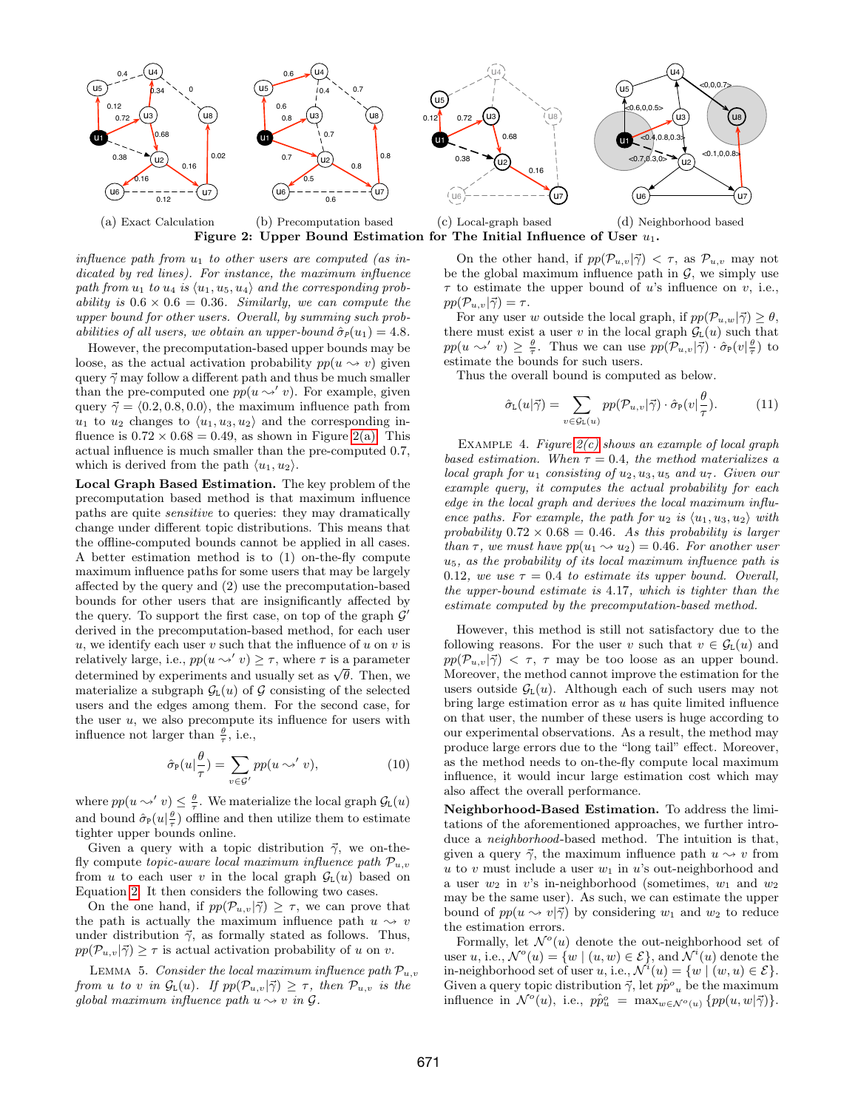<span id="page-5-1"></span>

<span id="page-5-0"></span>influence path from  $u_1$  to other users are computed (as indicated by red lines). For instance, the maximum influence path from  $u_1$  to  $u_4$  is  $\langle u_1, u_5, u_4 \rangle$  and the corresponding probability is  $0.6 \times 0.6 = 0.36$ . Similarly, we can compute the upper bound for other users. Overall, by summing such probabilities of all users, we obtain an upper-bound  $\hat{\sigma}_P(u_1) = 4.8$ .

However, the precomputation-based upper bounds may be loose, as the actual activation probability  $pp(u \sim v)$  given query  $\vec{\gamma}$  may follow a different path and thus be much smaller than the pre-computed one  $pp(u \sim' v)$ . For example, given query  $\vec{\gamma} = \langle 0.2, 0.8, 0.0 \rangle$ , the maximum influence path from  $u_1$  to  $u_2$  changes to  $\langle u_1, u_3, u_2 \rangle$  and the corresponding influence is  $0.72 \times 0.68 = 0.49$ , as shown in Figure [2\(a\).](#page-5-1) This actual influence is much smaller than the pre-computed 0.7, which is derived from the path  $\langle u_1, u_2 \rangle$ .

Local Graph Based Estimation. The key problem of the precomputation based method is that maximum influence paths are quite sensitive to queries: they may dramatically change under different topic distributions. This means that the offline-computed bounds cannot be applied in all cases. A better estimation method is to (1) on-the-fly compute maximum influence paths for some users that may be largely affected by the query and (2) use the precomputation-based bounds for other users that are insignificantly affected by the query. To support the first case, on top of the graph  $\mathcal{G}'$ derived in the precomputation-based method, for each user  $u$ , we identify each user  $v$  such that the influence of  $u$  on  $v$  is relatively large, i.e.,  $pp(u \sim' v) \geq \tau$ , where  $\tau$  is a parameter relatively large, i.e.,  $pp(u \leadsto v) \geq \tau$ , where  $\tau$  is a parameter<br>determined by experiments and usually set as  $\sqrt{\theta}$ . Then, we materialize a subgraph  $\mathcal{G}_L(u)$  of  $\mathcal G$  consisting of the selected users and the edges among them. For the second case, for the user  $u$ , we also precompute its influence for users with influence not larger than  $\frac{\theta}{\tau}$ , i.e.,

$$
\hat{\sigma}_{\mathbb{P}}(u|\frac{\theta}{\tau}) = \sum_{v \in \mathcal{G}'} pp(u \sim' v), \tag{10}
$$

where  $pp(u \leadsto' v) \leq \frac{\theta}{\tau}$ . We materialize the local graph  $\mathcal{G}_{\text{L}}(u)$ and bound  $\hat{\sigma}_{\mathbb{P}}(u|\frac{\theta}{\tau})$  offline and then utilize them to estimate tighter upper bounds online.

Given a query with a topic distribution  $\vec{\gamma}$ , we on-thefly compute topic-aware local maximum influence path  $\mathcal{P}_{u,v}$ from u to each user v in the local graph  $\mathcal{G}_{L}(u)$  based on Equation [2.](#page-2-6) It then considers the following two cases.

On the one hand, if  $pp(\mathcal{P}_{u,v}|\vec{\gamma}) \geq \tau$ , we can prove that the path is actually the maximum influence path  $u \sim v$ under distribution  $\vec{\gamma}$ , as formally stated as follows. Thus,  $pp(\mathcal{P}_{u,v}|\vec{\gamma}) \geq \tau$  is actual activation probability of u on v.

LEMMA 5. Consider the local maximum influence path  $\mathcal{P}_{u,v}$ from u to v in  $\mathcal{G}_{L}(u)$ . If  $pp(\mathcal{P}_{u,v}|\vec{\gamma}) \geq \tau$ , then  $\mathcal{P}_{u,v}$  is the global maximum influence path  $u \rightarrow v$  in  $\mathcal{G}$ .

<span id="page-5-3"></span><span id="page-5-2"></span>On the other hand, if  $pp(\mathcal{P}_{u,v}|\vec{\gamma}) < \tau$ , as  $\mathcal{P}_{u,v}$  may not be the global maximum influence path in  $\mathcal{G}$ , we simply use  $\tau$  to estimate the upper bound of u's influence on v, i.e.,  $pp(\mathcal{P}_{u,v}|\vec{\gamma}) = \tau.$ 

For any user w outside the local graph, if  $pp(\mathcal{P}_{u,w}|\vec{\gamma}) > \theta$ , there must exist a user v in the local graph  $\mathcal{G}_{L}(u)$  such that  $pp(u \leadsto' v) \geq \frac{\theta}{\tau}$ . Thus we can use  $pp(\mathcal{P}_{u,v}|\vec{\gamma}) \cdot \hat{\sigma}_{\mathbb{P}}(v|\frac{\theta}{\tau})$  to estimate the bounds for such users.

Thus the overall bound is computed as below.

$$
\hat{\sigma}_{\mathcal{L}}(u|\vec{\gamma}) = \sum_{v \in \mathcal{G}_{\mathcal{L}}(u)} pp(\mathcal{P}_{u,v}|\vec{\gamma}) \cdot \hat{\sigma}_{\mathcal{P}}(v|\frac{\theta}{\tau}). \tag{11}
$$

EXAMPLE 4. Figure  $2(c)$  shows an example of local graph based estimation. When  $\tau = 0.4$ , the method materializes a local graph for  $u_1$  consisting of  $u_2, u_3, u_5$  and  $u_7$ . Given our example query, it computes the actual probability for each edge in the local graph and derives the local maximum influence paths. For example, the path for  $u_2$  is  $\langle u_1, u_3, u_2 \rangle$  with probability  $0.72 \times 0.68 = 0.46$ . As this probability is larger than  $\tau$ , we must have  $pp(u_1 \rightsquigarrow u_2) = 0.46$ . For another user u5, as the probability of its local maximum influence path is 0.12, we use  $\tau = 0.4$  to estimate its upper bound. Overall, the upper-bound estimate is 4.17, which is tighter than the estimate computed by the precomputation-based method.

However, this method is still not satisfactory due to the following reasons. For the user v such that  $v \in \mathcal{G}_{L}(u)$  and  $pp(\mathcal{P}_{u,v}|\vec{\gamma}) < \tau$ ,  $\tau$  may be too loose as an upper bound. Moreover, the method cannot improve the estimation for the users outside  $\mathcal{G}_{L}(u)$ . Although each of such users may not bring large estimation error as  $u$  has quite limited influence on that user, the number of these users is huge according to our experimental observations. As a result, the method may produce large errors due to the "long tail" effect. Moreover, as the method needs to on-the-fly compute local maximum influence, it would incur large estimation cost which may also affect the overall performance.

Neighborhood-Based Estimation. To address the limitations of the aforementioned approaches, we further introduce a *neighborhood*-based method. The intuition is that, given a query  $\vec{\gamma}$ , the maximum influence path  $u \rightsquigarrow v$  from u to v must include a user  $w_1$  in u's out-neighborhood and a user  $w_2$  in v's in-neighborhood (sometimes,  $w_1$  and  $w_2$ ) may be the same user). As such, we can estimate the upper bound of  $pp(u \sim v|\vec{\gamma})$  by considering  $w_1$  and  $w_2$  to reduce the estimation errors.

Formally, let  $\mathcal{N}^o(u)$  denote the out-neighborhood set of user u, i.e.,  $\mathcal{N}^{\circ}(u) = \{w \mid (u, w) \in \mathcal{E}\}\$ , and  $\mathcal{N}^{i}(u)$  denote the in-neighborhood set of user u, i.e.,  $\mathcal{N}^i(u) = \{w \mid (w, u) \in \mathcal{E}\}.$ Given a query topic distribution  $\vec{\gamma}$ , let  $p\hat{p}^o{}_u$  be the maximum influence in  $\mathcal{N}^{\circ}(u)$ , i.e.,  $p\hat{p}_u^{\circ} = \max_{w \in \mathcal{N}^{\circ}(u)} \{pp(u, w|\vec{\gamma})\}.$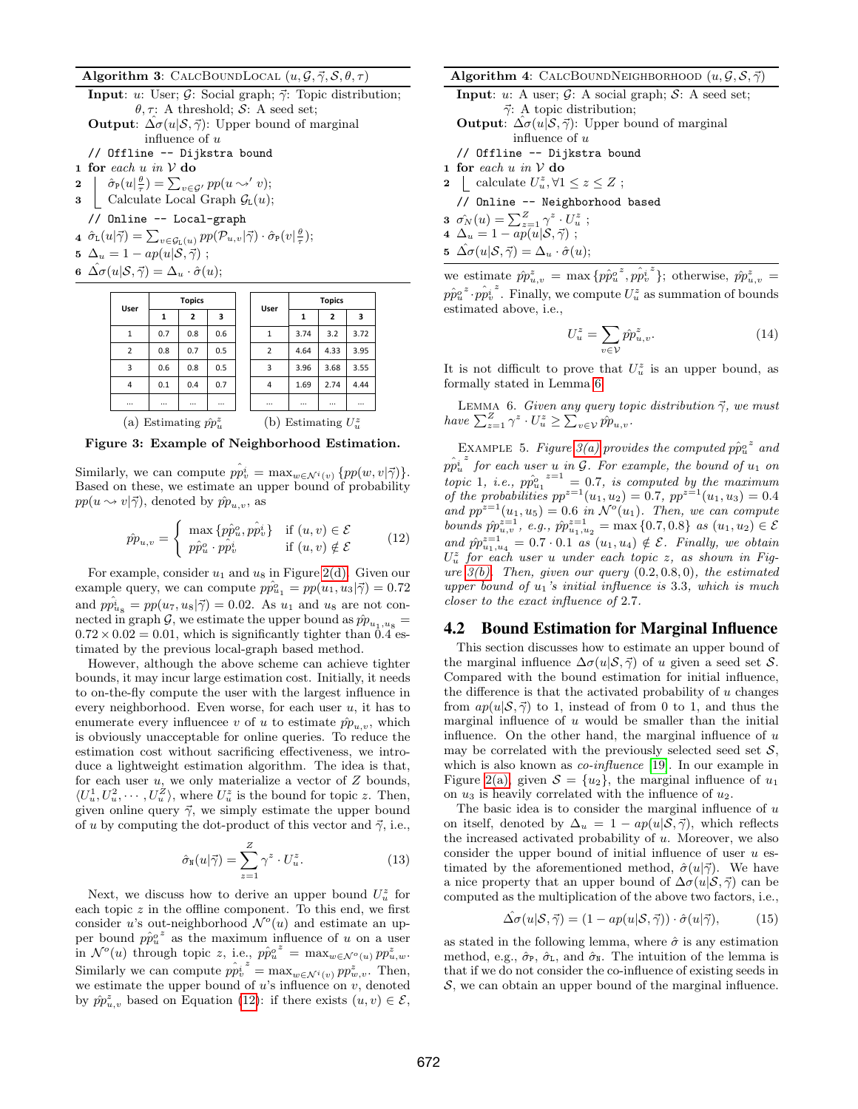#### Algorithm 3: CALCBOUNDLOCAL  $(u, \mathcal{G}, \vec{\gamma}, \mathcal{S}, \theta, \tau)$

**Input:** u: User;  $\mathcal{G}$ : Social graph;  $\vec{\gamma}$ : Topic distribution;  $\theta$ ,  $\tau$ : A threshold; S: A seed set; **Output:**  $\Delta \sigma(u|\mathcal{S}, \vec{\gamma})$ : Upper bound of marginal influence of  $u$ // Offline -- Dijkstra bound

- $\bf 1 \;\; for \;\; each \; u \; \it in \; \mathcal{V} \; do$
- 2  $\hat{\sigma}_{\mathbb{P}}(u|\frac{\theta}{\tau}) = \sum_{v \in \mathcal{G}'} pp(u \leadsto' v);$
- **3** Calculate Local Graph  $\mathcal{G}_{\text{L}}(u)$ ;

// Online -- Local-graph

- 4  $\hat{\sigma}_{L}(u|\vec{\gamma}) = \sum_{v \in \mathcal{G}_{L}(u)} pp(\mathcal{P}_{u,v}|\vec{\gamma}) \cdot \hat{\sigma}_{P}(v|\frac{\theta}{\tau});$ 5  $\Delta_u = 1 - ap(u|\mathcal{S}, \vec{\gamma})$ ;
- 
- <span id="page-6-3"></span>6  $\hat{\Delta \sigma}(u|\mathcal{S}, \vec{\gamma}) = \Delta_u \cdot \hat{\sigma}(u);$



<span id="page-6-4"></span>Figure 3: Example of Neighborhood Estimation.

Similarly, we can compute  $p\hat{p}_v^i = \max_{w \in \mathcal{N}^i(v)} \{pp(w, v | \vec{\gamma})\}.$ Based on these, we estimate an upper bound of probability  $pp(u \sim v|\vec{\gamma})$ , denoted by  $\hat{pp}_{u,v}$ , as

<span id="page-6-1"></span>
$$
\hat{pp}_{u,v} = \begin{cases} \max \{p\hat{p}_u^o, p\hat{p}_v^i\} & \text{if } (u,v) \in \mathcal{E} \\ p\hat{p}_u^o \cdot p\hat{p}_v^i & \text{if } (u,v) \notin \mathcal{E} \end{cases}
$$
 (12)

For example, consider  $u_1$  and  $u_8$  in Figure [2\(d\).](#page-5-3) Given our example query, we can compute  $p\hat{p}_{u_1}^{\circ} = pp(u_1, u_3|\vec{\gamma}) = 0.72$ and  $p\hat{p}_{u_8}^i = pp(u_7, u_8|\vec{\gamma}) = 0.02$ . As  $u_1$  and  $u_8$  are not connected in graph G, we estimate the upper bound as  $\hat{pp}_{u_1,u_8}$  =  $0.72 \times 0.02 = 0.01$ , which is significantly tighter than 0.4 estimated by the previous local-graph based method.

However, although the above scheme can achieve tighter bounds, it may incur large estimation cost. Initially, it needs to on-the-fly compute the user with the largest influence in every neighborhood. Even worse, for each user  $u$ , it has to enumerate every influencee v of u to estimate  $\hat{p}_{u,v}$ , which is obviously unacceptable for online queries. To reduce the estimation cost without sacrificing effectiveness, we introduce a lightweight estimation algorithm. The idea is that, for each user  $u$ , we only materialize a vector of  $Z$  bounds,  $\langle U_u^1, U_u^2, \cdots, U_u^Z \rangle$ , where  $U_u^z$  is the bound for topic z. Then, given online query  $\vec{\gamma}$ , we simply estimate the upper bound of u by computing the dot-product of this vector and  $\vec{\gamma}$ , i.e.,

<span id="page-6-5"></span>
$$
\hat{\sigma}_{\mathbf{N}}(u|\vec{\gamma}) = \sum_{z=1}^{Z} \gamma^z \cdot U_u^z.
$$
 (13)

Next, we discuss how to derive an upper bound  $U_u^z$  for each topic  $z$  in the offline component. To this end, we first consider u's out-neighborhood  $\mathcal{N}^o(u)$  and estimate an upper bound  $p\hat{p}_u^o{}^z$  as the maximum influence of u on a user in  $\mathcal{N}^o(u)$  through topic z, i.e.,  $p\hat{p}_u^{o^z} = \max_{w \in \mathcal{N}^o(u)} pp_{u,w}^z$ . Similarly we can compute  $p\hat{p}_v^i$  $z = \max_{w \in \mathcal{N}^i(v)} pp_{w,v}^z$ . Then, we estimate the upper bound of  $u$ 's influence on  $v$ , denoted by  $\hat{pp}_{u,v}^z$  based on Equation [\(12\)](#page-6-1): if there exists  $(u, v) \in \mathcal{E}$ ,

#### Algorithm 4: CALCBOUNDNEIGHBORHOOD  $(u, \mathcal{G}, \mathcal{S}, \vec{\gamma})$

**Input:** u: A user;  $\mathcal{G}$ : A social graph;  $\mathcal{S}$ : A seed set;  $\vec{\gamma}$ : A topic distribution; **Output**:  $\Delta \sigma(u|\mathcal{S}, \vec{\gamma})$ : Upper bound of marginal influence of  $u$ // Offline -- Dijkstra bound  $\bf 1 \;\; for \;\; each \; u \;\; in \; V \; do$ 2 | calculate  $U_u^z, \forall 1 \leq z \leq Z;$ 

- // Online -- Neighborhood based
- **3**  $\hat{\sigma_N}(u) = \sum_{z=1}^{Z} \gamma^z \cdot U_u^z$ ;
- 4  $\Delta_u = 1 ap(u|\mathcal{S}, \vec{\gamma})$ ;

5 
$$
\hat{\Delta \sigma}(u|\mathcal{S}, \vec{\gamma}) = \Delta_u \cdot \hat{\sigma}(u);
$$

we estimate  $\hat{p}\hat{p}_{u,v}^z = \max \{p\hat{p}_u^{o,z}, p\hat{p}_v^i\}$  $z^2$ }; otherwise,  $\hat{p}p_{u,v}^z =$  $p\hat{p}_{u}^{o\,z}\!\cdot\!\hat{p_{v}^{i}}$  $z^*$ . Finally, we compute  $U_u^z$  as summation of bounds estimated above, i.e.,

<span id="page-6-2"></span>
$$
U_u^z = \sum_{v \in \mathcal{V}} \hat{p} \hat{p}_{u,v}^z. \tag{14}
$$

It is not difficult to prove that  $U_u^z$  is an upper bound, as formally stated in Lemma [6.](#page-6-2)

LEMMA 6. Given any query topic distribution  $\vec{\gamma}$ , we must have  $\sum_{z=1}^{Z} \gamma^z \cdot U_u^z \ge \sum_{v \in \mathcal{V}} \hat{p} \hat{p}_{u,v}$ .

EXAMPLE 5. Figure [3\(a\)](#page-6-3) provides the computed  $p\hat{p}_u^o{}^z$  and  $\hat{pp_u^i}$  $\int^z$  for each user u in  $\mathcal G$ . For example, the bound of  $u_1$  on topic 1, i.e.,  $pp_{u_1}^{\circ}^{z=1} = 0.7$ , is computed by the maximum of the probabilities  $pp^{z=1}(u_1, u_2) = 0.7$ ,  $pp^{z=1}(u_1, u_3) = 0.4$ and  $pp^{z=1}(u_1, u_5) = 0.6$  in  $\mathcal{N}^o(u_1)$ . Then, we can compute bounds  $\hat{p}_{u,v}^{z=1}$ , e.g.,  $\hat{p}_{u_1,u_2}^{z=1} = \max\{0.7, 0.8\}$  as  $(u_1, u_2) \in \mathcal{E}$ and  $\hat{p}^{z=1}_{u_1,u_4} = 0.7 \cdot 0.1$  as  $(u_1,u_4) \notin \mathcal{E}$ . Finally, we obtain  $U_u^z$  for each user u under each topic z, as shown in Figure  $3(b)$ . Then, given our query  $(0.2, 0.8, 0)$ , the estimated upper bound of  $u_1$ 's initial influence is 3.3, which is much closer to the exact influence of 2.7.

### <span id="page-6-0"></span>4.2 Bound Estimation for Marginal Influence

This section discusses how to estimate an upper bound of the marginal influence  $\Delta \sigma(u|\mathcal{S}, \vec{\gamma})$  of u given a seed set S. Compared with the bound estimation for initial influence, the difference is that the activated probability of  $u$  changes from  $ap(u|S,\vec{\gamma})$  to 1, instead of from 0 to 1, and thus the marginal influence of  $u$  would be smaller than the initial influence. On the other hand, the marginal influence of  $u$ may be correlated with the previously selected seed set  $\mathcal{S}$ , which is also known as *co-influence* [\[19\]](#page-11-7). In our example in Figure [2\(a\),](#page-5-1) given  $S = \{u_2\}$ , the marginal influence of  $u_1$ on  $u_3$  is heavily correlated with the influence of  $u_2$ .

The basic idea is to consider the marginal influence of  $u$ on itself, denoted by  $\Delta_u = 1 - ap(u|\mathcal{S}, \vec{\gamma})$ , which reflects the increased activated probability of u. Moreover, we also consider the upper bound of initial influence of user  $u$  estimated by the aforementioned method,  $\hat{\sigma}(u|\vec{\gamma})$ . We have a nice property that an upper bound of  $\Delta \sigma(u|\mathcal{S}, \vec{\gamma})$  can be computed as the multiplication of the above two factors, i.e.,

$$
\hat{\Delta\sigma}(u|\mathcal{S},\vec{\gamma}) = (1 - ap(u|\mathcal{S},\vec{\gamma})) \cdot \hat{\sigma}(u|\vec{\gamma}), \quad (15)
$$

as stated in the following lemma, where  $\hat{\sigma}$  is any estimation method, e.g.,  $\hat{\sigma}_{P}$ ,  $\hat{\sigma}_{L}$ , and  $\hat{\sigma}_{N}$ . The intuition of the lemma is that if we do not consider the co-influence of existing seeds in  $S$ , we can obtain an upper bound of the marginal influence.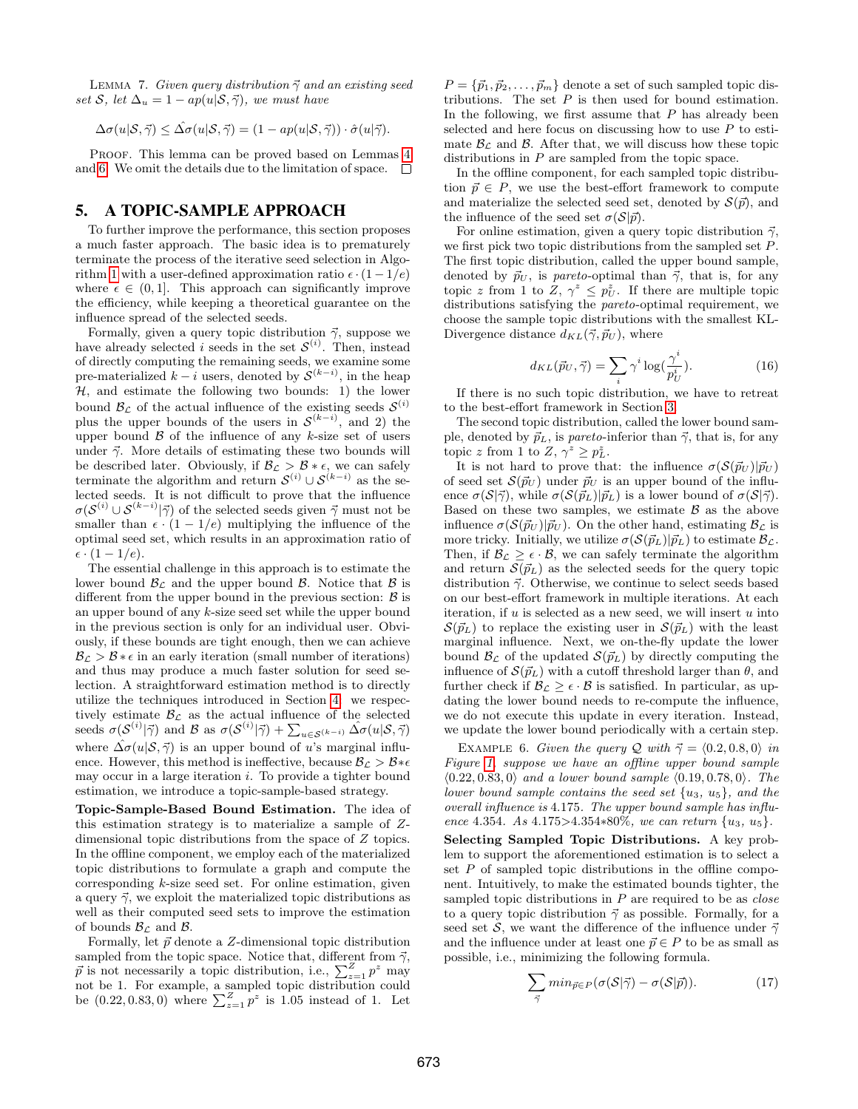LEMMA 7. Given query distribution  $\vec{\gamma}$  and an existing seed set S, let  $\Delta_u = 1 - ap(u|S,\vec{\gamma})$ , we must have

$$
\Delta \sigma(u|\mathcal{S}, \vec{\gamma}) \leq \hat{\Delta \sigma}(u|\mathcal{S}, \vec{\gamma}) = (1 - ap(u|\mathcal{S}, \vec{\gamma})) \cdot \hat{\sigma}(u|\vec{\gamma}).
$$

PROOF. This lemma can be proved based on Lemmas [4](#page-4-4) and [6.](#page-6-2) We omit the details due to the limitation of space.  $\Box$ 

## <span id="page-7-0"></span>5. A TOPIC-SAMPLE APPROACH

To further improve the performance, this section proposes a much faster approach. The basic idea is to prematurely terminate the process of the iterative seed selection in Algo-rithm [1](#page-3-0) with a user-defined approximation ratio  $\epsilon \cdot (1 - 1/e)$ where  $\epsilon \in (0, 1]$ . This approach can significantly improve the efficiency, while keeping a theoretical guarantee on the influence spread of the selected seeds.

Formally, given a query topic distribution  $\vec{\gamma}$ , suppose we have already selected *i* seeds in the set  $\mathcal{S}^{(i)}$ . Then, instead of directly computing the remaining seeds, we examine some pre-materialized  $k - i$  users, denoted by  $\mathcal{S}^{(k-i)}$ , in the heap  $H$ , and estimate the following two bounds: 1) the lower bound  $\mathcal{B}_{\mathcal{L}}$  of the actual influence of the existing seeds  $\mathcal{S}^{(i)}$ plus the upper bounds of the users in  $\mathcal{S}^{(k-i)}$ , and 2) the upper bound  $\beta$  of the influence of any k-size set of users under  $\vec{\gamma}$ . More details of estimating these two bounds will be described later. Obviously, if  $\mathcal{B}_{\mathcal{L}} > \mathcal{B} * \epsilon$ , we can safely terminate the algorithm and return  $\mathcal{S}^{(i)} \cup \mathcal{S}^{(k-i)}$  as the selected seeds. It is not difficult to prove that the influence  $\sigma(\mathcal{S}^{(i)} \cup \mathcal{S}^{(k-i)} | \vec{\gamma})$  of the selected seeds given  $\vec{\gamma}$  must not be smaller than  $\epsilon \cdot (1 - 1/e)$  multiplying the influence of the optimal seed set, which results in an approximation ratio of  $\epsilon \cdot (1-1/e)$ .

The essential challenge in this approach is to estimate the lower bound  $\mathcal{B}_{\mathcal{L}}$  and the upper bound  $\mathcal{B}$ . Notice that  $\mathcal{B}$  is different from the upper bound in the previous section:  $\beta$  is an upper bound of any k-size seed set while the upper bound in the previous section is only for an individual user. Obviously, if these bounds are tight enough, then we can achieve  $B_{\mathcal{L}} > \mathcal{B} * \epsilon$  in an early iteration (small number of iterations) and thus may produce a much faster solution for seed selection. A straightforward estimation method is to directly utilize the techniques introduced in Section [4:](#page-4-0) we respectively estimate  $B_{\mathcal{L}}$  as the actual influence of the selected seeds  $\sigma(\mathcal{S}^{(i)}|\vec{\gamma})$  and B as  $\sigma(\mathcal{S}^{(i)}|\vec{\gamma}) + \sum_{u \in \mathcal{S}^{(k-i)}} \hat{\Delta \sigma}(u|\mathcal{S}, \vec{\gamma})$ where  $\Delta \sigma(u|\mathcal{S}, \vec{\gamma})$  is an upper bound of u's marginal influence. However, this method is ineffective, because  $B_{\mathcal{L}} > B_{*} \epsilon$ may occur in a large iteration  $i$ . To provide a tighter bound estimation, we introduce a topic-sample-based strategy.

Topic-Sample-Based Bound Estimation. The idea of this estimation strategy is to materialize a sample of Zdimensional topic distributions from the space of Z topics. In the offline component, we employ each of the materialized topic distributions to formulate a graph and compute the corresponding  $k$ -size seed set. For online estimation, given a query  $\vec{\gamma}$ , we exploit the materialized topic distributions as well as their computed seed sets to improve the estimation of bounds  $\mathcal{B}_{\mathcal{L}}$  and  $\mathcal{B}$ .

Formally, let  $\vec{p}$  denote a Z-dimensional topic distribution sampled from the topic space. Notice that, different from  $\vec{\gamma}$ ,  $\vec{p}$  is not necessarily a topic distribution, i.e.,  $\sum_{z=1}^{Z} p^z$  may not be 1. For example, a sampled topic distribution could be  $(0.22, 0.83, 0)$  where  $\sum_{z=1}^{Z} p^z$  is 1.05 instead of 1. Let

 $P = {\vec{p}_1, \vec{p}_2, \dots, \vec{p}_m}$  denote a set of such sampled topic distributions. The set  $P$  is then used for bound estimation. In the following, we first assume that  $P$  has already been selected and here focus on discussing how to use  $P$  to estimate  $\mathcal{B}_{\mathcal{L}}$  and  $\mathcal{B}$ . After that, we will discuss how these topic distributions in P are sampled from the topic space.

In the offline component, for each sampled topic distribution  $\vec{p} \in P$ , we use the best-effort framework to compute and materialize the selected seed set, denoted by  $\mathcal{S}(\vec{p})$ , and the influence of the seed set  $\sigma(\mathcal{S}|\vec{p}).$ 

For online estimation, given a query topic distribution  $\vec{\gamma}$ , we first pick two topic distributions from the sampled set P. The first topic distribution, called the upper bound sample, denoted by  $\vec{p}_U$ , is pareto-optimal than  $\vec{\gamma}$ , that is, for any topic z from 1 to  $Z, \gamma^z \leq p_U^z$ . If there are multiple topic distributions satisfying the pareto-optimal requirement, we choose the sample topic distributions with the smallest KL-Divergence distance  $d_{KL}(\vec{\gamma}, \vec{p}_U)$ , where

$$
d_{KL}(\vec{p}_U, \vec{\gamma}) = \sum_i \gamma^i \log(\frac{\gamma^i}{p_U^i}). \tag{16}
$$

If there is no such topic distribution, we have to retreat to the best-effort framework in Section [3.](#page-2-0)

The second topic distribution, called the lower bound sample, denoted by  $\vec{p}_L$ , is pareto-inferior than  $\vec{\gamma}$ , that is, for any topic z from 1 to  $Z, \gamma^z \geq p_L^z$ .

It is not hard to prove that: the influence  $\sigma(S(\vec{p}_U)|\vec{p}_U)$ of seed set  $S(\vec{p}_U)$  under  $\vec{p}_U$  is an upper bound of the influence  $\sigma(S|\vec{\gamma})$ , while  $\sigma(S(\vec{p}_L)|\vec{p}_L)$  is a lower bound of  $\sigma(S|\vec{\gamma})$ . Based on these two samples, we estimate  $\beta$  as the above influence  $\sigma(\mathcal{S}(\vec{p}_U)|\vec{p}_U)$ . On the other hand, estimating  $\mathcal{B}_{\mathcal{L}}$  is more tricky. Initially, we utilize  $\sigma(S(\vec{p}_L)|\vec{p}_L)$  to estimate  $\mathcal{B}_{\mathcal{L}}$ . Then, if  $\mathcal{B}_{\mathcal{L}} \geq \epsilon \cdot \mathcal{B}$ , we can safely terminate the algorithm and return  $\mathcal{S}(\vec{p}_L)$  as the selected seeds for the query topic distribution  $\vec{\gamma}$ . Otherwise, we continue to select seeds based on our best-effort framework in multiple iterations. At each iteration, if  $u$  is selected as a new seed, we will insert  $u$  into  $S(\vec{p}_L)$  to replace the existing user in  $S(\vec{p}_L)$  with the least marginal influence. Next, we on-the-fly update the lower bound  $\mathcal{B}_{\mathcal{L}}$  of the updated  $\mathcal{S}(\vec{p}_L)$  by directly computing the influence of  $\mathcal{S}(\vec{p}_L)$  with a cutoff threshold larger than  $\theta$ , and further check if  $\mathcal{B}_{\mathcal{L}} \geq \epsilon \cdot \mathcal{B}$  is satisfied. In particular, as updating the lower bound needs to re-compute the influence, we do not execute this update in every iteration. Instead, we update the lower bound periodically with a certain step.

EXAMPLE 6. Given the query Q with  $\vec{\gamma} = \langle 0.2, 0.8, 0 \rangle$  in Figure [1,](#page-1-3) suppose we have an offline upper bound sample  $\langle 0.22, 0.83, 0 \rangle$  and a lower bound sample  $\langle 0.19, 0.78, 0 \rangle$ . The lower bound sample contains the seed set  $\{u_3, u_5\}$ , and the overall influence is 4.175. The upper bound sample has influence 4.354. As  $4.175 > 4.354 * 80\%$ , we can return  $\{u_3, u_5\}$ .

Selecting Sampled Topic Distributions. A key problem to support the aforementioned estimation is to select a set  $P$  of sampled topic distributions in the offline component. Intuitively, to make the estimated bounds tighter, the sampled topic distributions in  $P$  are required to be as *close* to a query topic distribution  $\vec{\gamma}$  as possible. Formally, for a seed set S, we want the difference of the influence under  $\vec{\gamma}$ and the influence under at least one  $\vec{p} \in P$  to be as small as possible, i.e., minimizing the following formula.

<span id="page-7-1"></span>
$$
\sum_{\vec{\gamma}} min_{\vec{p} \in P} (\sigma(S|\vec{\gamma}) - \sigma(S|\vec{p})). \tag{17}
$$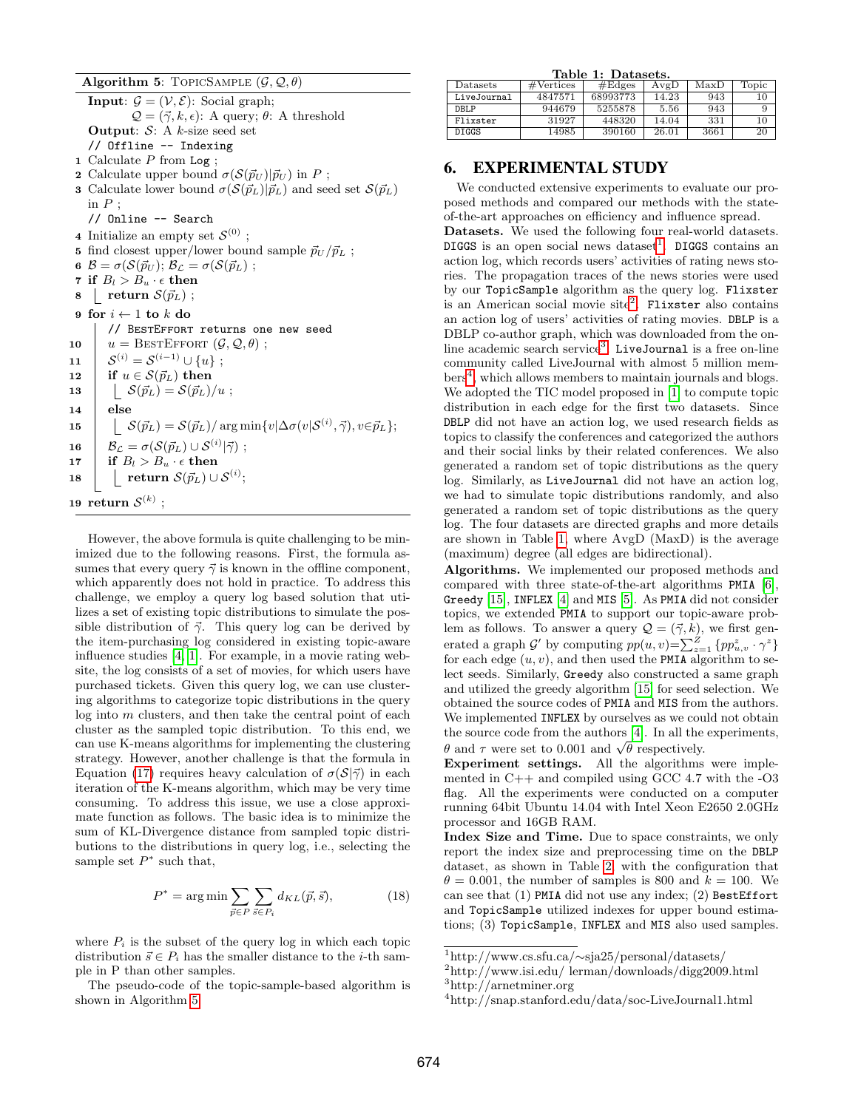<span id="page-8-1"></span>Algorithm 5: TOPICSAMPLE  $(\mathcal{G}, \mathcal{Q}, \theta)$ 

**Input:**  $\mathcal{G} = (\mathcal{V}, \mathcal{E})$ : Social graph;  $\mathcal{Q} = (\vec{\gamma}, k, \epsilon)$ : A query;  $\theta$ : A threshold **Output:**  $S: A$  *k*-size seed set // Offline -- Indexing 1 Calculate  $P$  from Log; 2 Calculate upper bound  $\sigma(S(\vec{p}_U)|\vec{p}_U)$  in P; **3** Calculate lower bound  $\sigma(S(\vec{p}_L)|\vec{p}_L)$  and seed set  $S(\vec{p}_L)$ in  $P$  : // Online -- Search 4 Initialize an empty set  $\mathcal{S}^{(0)}$ ; 5 find closest upper/lower bound sample  $\vec{p}_U / \vec{p}_L$ ; 6  $\mathcal{B} = \sigma(\mathcal{S}(\vec{p}_U); \mathcal{B}_\mathcal{L} = \sigma(\mathcal{S}(\vec{p}_L))$ ; 7 if  $B_l > B_u \cdot \epsilon$  then  $8$  return  $\mathcal{S}(\vec{p}_L)$ ; 9 for  $i \leftarrow 1$  to  $k$  do // BestEffort returns one new seed 10  $u = \text{BESTError}(\mathcal{G}, \mathcal{Q}, \theta)$ ;  $\mathbf{11} \quad | \quad \mathcal{S}^{(i)} = \mathcal{S}^{(i-1)} \cup \{u\} \; ;$ 12 | if  $u \in \mathcal{S}(\vec{p}_L)$  then 13  $\big| \quad \mathcal{S}(\vec{p}_L) = \mathcal{S}(\vec{p}_L)/u ;$  $14$  else  $\mathtt{15} ~~~~~~\mid~~~~ \mathcal{S}(\vec{p}_L) = \mathcal{S}(\vec{p}_L)/\argmin\{v|\Delta\sigma(v|\mathcal{S}^{(i)},\vec{\gamma}), v\in\vec{p}_L\};$  ${\bf 16}\quad | \quad \mathcal{B_L} = \sigma(\mathcal{S}(\vec{p}_L) \cup \mathcal{S}^{(i)} | \vec{\gamma}) \; ;$ 17 if  $B_l > B_u \cdot \epsilon$  then  $\quad \quad \text{18} \quad | \quad \text{ return } \mathcal{S}(\vec{p}_L) \cup \mathcal{S}^{(i)};$  $\mathbf{19} \;\; \textbf{return} \; \mathcal{S}^{(k)} \;;$ 

However, the above formula is quite challenging to be minimized due to the following reasons. First, the formula assumes that every query  $\vec{\gamma}$  is known in the offline component, which apparently does not hold in practice. To address this challenge, we employ a query log based solution that utilizes a set of existing topic distributions to simulate the possible distribution of  $\vec{\gamma}$ . This query log can be derived by the item-purchasing log considered in existing topic-aware influence studies [\[4,](#page-11-8) [1\]](#page-11-4). For example, in a movie rating website, the log consists of a set of movies, for which users have purchased tickets. Given this query log, we can use clustering algorithms to categorize topic distributions in the query  $log$  into  $m$  clusters, and then take the central point of each cluster as the sampled topic distribution. To this end, we can use K-means algorithms for implementing the clustering strategy. However, another challenge is that the formula in Equation [\(17\)](#page-7-1) requires heavy calculation of  $\sigma(S|\vec{\gamma})$  in each iteration of the K-means algorithm, which may be very time consuming. To address this issue, we use a close approximate function as follows. The basic idea is to minimize the sum of KL-Divergence distance from sampled topic distributions to the distributions in query log, i.e., selecting the sample set  $P^*$  such that,

$$
P^* = \arg\min \sum_{\vec{p} \in P} \sum_{\vec{s} \in P_i} d_{KL}(\vec{p}, \vec{s}), \tag{18}
$$

where  $P_i$  is the subset of the query log in which each topic distribution  $\vec{s} \in P_i$  has the smaller distance to the *i*-th sample in P than other samples.

The pseudo-code of the topic-sample-based algorithm is shown in Algorithm [5.](#page-8-1)

<span id="page-8-6"></span>

| Table 1: Datasets. |                     |          |       |      |       |  |  |  |  |  |
|--------------------|---------------------|----------|-------|------|-------|--|--|--|--|--|
| Datasets           | $\#\text{Vertices}$ | #Edges   | AvgD  | MaxD | Topic |  |  |  |  |  |
| LiveJournal        | 4847571             | 68993773 | 14.23 | 943  | 10    |  |  |  |  |  |
| DBLP               | 944679              | 5255878  | 5.56  | 943  | 9     |  |  |  |  |  |
| Flixster           | 31927               | 448320   | 14.04 | 331  | 10    |  |  |  |  |  |
| <b>DIGGS</b>       | 14985               | 390160   | 26.01 | 3661 | 20    |  |  |  |  |  |

# <span id="page-8-0"></span>6. EXPERIMENTAL STUDY

We conducted extensive experiments to evaluate our proposed methods and compared our methods with the stateof-the-art approaches on efficiency and influence spread. Datasets. We used the following four real-world datasets. DIGGS is an open social news dataset<sup>[1](#page-8-2)</sup>. DIGGS contains an action log, which records users' activities of rating news stories. The propagation traces of the news stories were used by our TopicSample algorithm as the query log. Flixster is an American social movie site<sup>[2](#page-8-3)</sup>. Flixster also contains an action log of users' activities of rating movies. DBLP is a DBLP co-author graph, which was downloaded from the on-line academic search service<sup>[3](#page-8-4)</sup>. LiveJournal is a free on-line community called LiveJournal with almost 5 million mem-bers<sup>[4](#page-8-5)</sup>, which allows members to maintain journals and blogs. We adopted the TIC model proposed in [\[1\]](#page-11-4) to compute topic distribution in each edge for the first two datasets. Since DBLP did not have an action log, we used research fields as topics to classify the conferences and categorized the authors and their social links by their related conferences. We also generated a random set of topic distributions as the query log. Similarly, as LiveJournal did not have an action log, we had to simulate topic distributions randomly, and also generated a random set of topic distributions as the query log. The four datasets are directed graphs and more details are shown in Table [1,](#page-8-6) where AvgD (MaxD) is the average (maximum) degree (all edges are bidirectional).

Algorithms. We implemented our proposed methods and compared with three state-of-the-art algorithms PMIA [\[6\]](#page-11-6), Greedy [\[15\]](#page-11-3), INFLEX [\[4\]](#page-11-8) and MIS [\[5\]](#page-11-9). As PMIA did not consider topics, we extended PMIA to support our topic-aware problem as follows. To answer a query  $\mathcal{Q} = (\vec{\gamma}, k)$ , we first generated a graph  $\mathcal{G}'$  by computing  $pp(u, v) = \sum_{z=1}^{Z} \{pp_{u, v}^z \cdot \gamma^z\}$ for each edge  $(u, v)$ , and then used the PMIA algorithm to select seeds. Similarly, Greedy also constructed a same graph and utilized the greedy algorithm [\[15\]](#page-11-3) for seed selection. We obtained the source codes of PMIA and MIS from the authors. We implemented INFLEX by ourselves as we could not obtain the source code from the authors [\[4\]](#page-11-8). In all the experiments, the source code from the authors [4]. In an the  $\theta$  and  $\tau$  were set to 0.001 and  $\sqrt{\theta}$  respectively.

Experiment settings. All the algorithms were implemented in C++ and compiled using GCC 4.7 with the -O3 flag. All the experiments were conducted on a computer running 64bit Ubuntu 14.04 with Intel Xeon E2650 2.0GHz processor and 16GB RAM.

Index Size and Time. Due to space constraints, we only report the index size and preprocessing time on the DBLP dataset, as shown in Table [2,](#page-9-0) with the configuration that  $\theta = 0.001$ , the number of samples is 800 and  $k = 100$ . We can see that (1) PMIA did not use any index; (2) BestEffort and TopicSample utilized indexes for upper bound estimations; (3) TopicSample, INFLEX and MIS also used samples.

<span id="page-8-2"></span><sup>1</sup>http://www.cs.sfu.ca/∼sja25/personal/datasets/

<span id="page-8-4"></span><span id="page-8-3"></span> $^{2}$ http://www.isi.edu/ lerman/downloads/digg2009.html <sup>3</sup>http://arnetminer.org

<span id="page-8-5"></span><sup>4</sup>http://snap.stanford.edu/data/soc-LiveJournal1.html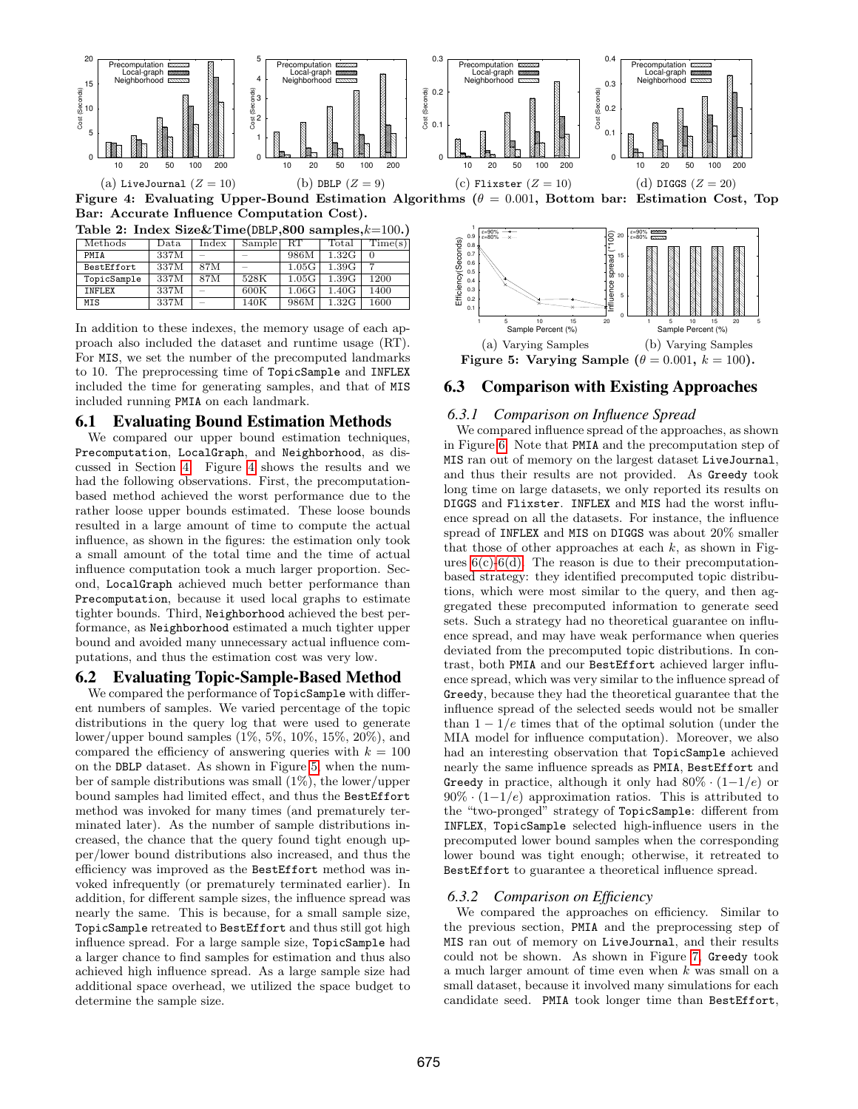

<span id="page-9-1"></span>Figure 4: Evaluating Upper-Bound Estimation Algorithms ( $\theta = 0.001$ , Bottom bar: Estimation Cost, Top Bar: Accurate Influence Computation Cost).

<span id="page-9-0"></span>Table 2: Index Size&Time(DBLP,800 samples, $k=100$ .)

| Methods           | Data | Index | Sample | -RT   | $_{\rm Total}$ | $\mathrm{Time(s)}$ |
|-------------------|------|-------|--------|-------|----------------|--------------------|
| PMTA              | 337M |       |        | 986M  | 1.32G          |                    |
| <b>BestEffort</b> | 337M | 87M   |        | 1.05G | 1.39G          |                    |
| TopicSample       | 337M | 87M   | 528K   | 1.05G | 1.39G          | 1200               |
| INFLEX            | 337M |       | 600K   | 1.06G | 1.40G          | 1400               |
| MIS               | 337M |       | 140K   | 986M  | 1.32G          | 1600               |

In addition to these indexes, the memory usage of each approach also included the dataset and runtime usage (RT). For MIS, we set the number of the precomputed landmarks to 10. The preprocessing time of TopicSample and INFLEX included the time for generating samples, and that of MIS included running PMIA on each landmark.

#### 6.1 Evaluating Bound Estimation Methods

We compared our upper bound estimation techniques, Precomputation, LocalGraph, and Neighborhood, as discussed in Section [4.](#page-4-0) Figure [4](#page-9-1) shows the results and we had the following observations. First, the precomputationbased method achieved the worst performance due to the rather loose upper bounds estimated. These loose bounds resulted in a large amount of time to compute the actual influence, as shown in the figures: the estimation only took a small amount of the total time and the time of actual influence computation took a much larger proportion. Second, LocalGraph achieved much better performance than Precomputation, because it used local graphs to estimate tighter bounds. Third, Neighborhood achieved the best performance, as Neighborhood estimated a much tighter upper bound and avoided many unnecessary actual influence computations, and thus the estimation cost was very low.

## 6.2 Evaluating Topic-Sample-Based Method

We compared the performance of TopicSample with different numbers of samples. We varied percentage of the topic distributions in the query log that were used to generate lower/upper bound samples (1%, 5%, 10%, 15%, 20%), and compared the efficiency of answering queries with  $k = 100$ on the DBLP dataset. As shown in Figure [5,](#page-9-2) when the number of sample distributions was small (1%), the lower/upper bound samples had limited effect, and thus the BestEffort method was invoked for many times (and prematurely terminated later). As the number of sample distributions increased, the chance that the query found tight enough upper/lower bound distributions also increased, and thus the efficiency was improved as the BestEffort method was invoked infrequently (or prematurely terminated earlier). In addition, for different sample sizes, the influence spread was nearly the same. This is because, for a small sample size, TopicSample retreated to BestEffort and thus still got high influence spread. For a large sample size, TopicSample had a larger chance to find samples for estimation and thus also achieved high influence spread. As a large sample size had additional space overhead, we utilized the space budget to determine the sample size.



#### <span id="page-9-2"></span>6.3 Comparison with Existing Approaches

#### <span id="page-9-3"></span>*6.3.1 Comparison on Influence Spread*

We compared influence spread of the approaches, as shown in Figure [6.](#page-10-1) Note that PMIA and the precomputation step of MIS ran out of memory on the largest dataset LiveJournal, and thus their results are not provided. As Greedy took long time on large datasets, we only reported its results on DIGGS and Flixster. INFLEX and MIS had the worst influence spread on all the datasets. For instance, the influence spread of INFLEX and MIS on DIGGS was about 20% smaller that those of other approaches at each  $k$ , as shown in Figures  $6(c)$ -[6\(d\).](#page-10-3) The reason is due to their precomputationbased strategy: they identified precomputed topic distributions, which were most similar to the query, and then aggregated these precomputed information to generate seed sets. Such a strategy had no theoretical guarantee on influence spread, and may have weak performance when queries deviated from the precomputed topic distributions. In contrast, both PMIA and our BestEffort achieved larger influence spread, which was very similar to the influence spread of Greedy, because they had the theoretical guarantee that the influence spread of the selected seeds would not be smaller than  $1 - 1/e$  times that of the optimal solution (under the MIA model for influence computation). Moreover, we also had an interesting observation that TopicSample achieved nearly the same influence spreads as PMIA, BestEffort and Greedy in practice, although it only had  $80\% \cdot (1-1/e)$  or  $90\% \cdot (1-1/e)$  approximation ratios. This is attributed to the "two-pronged" strategy of TopicSample: different from INFLEX, TopicSample selected high-influence users in the precomputed lower bound samples when the corresponding lower bound was tight enough; otherwise, it retreated to BestEffort to guarantee a theoretical influence spread.

#### *6.3.2 Comparison on Efficiency*

We compared the approaches on efficiency. Similar to the previous section, PMIA and the preprocessing step of MIS ran out of memory on LiveJournal, and their results could not be shown. As shown in Figure [7,](#page-10-4) Greedy took a much larger amount of time even when k was small on a small dataset, because it involved many simulations for each candidate seed. PMIA took longer time than BestEffort,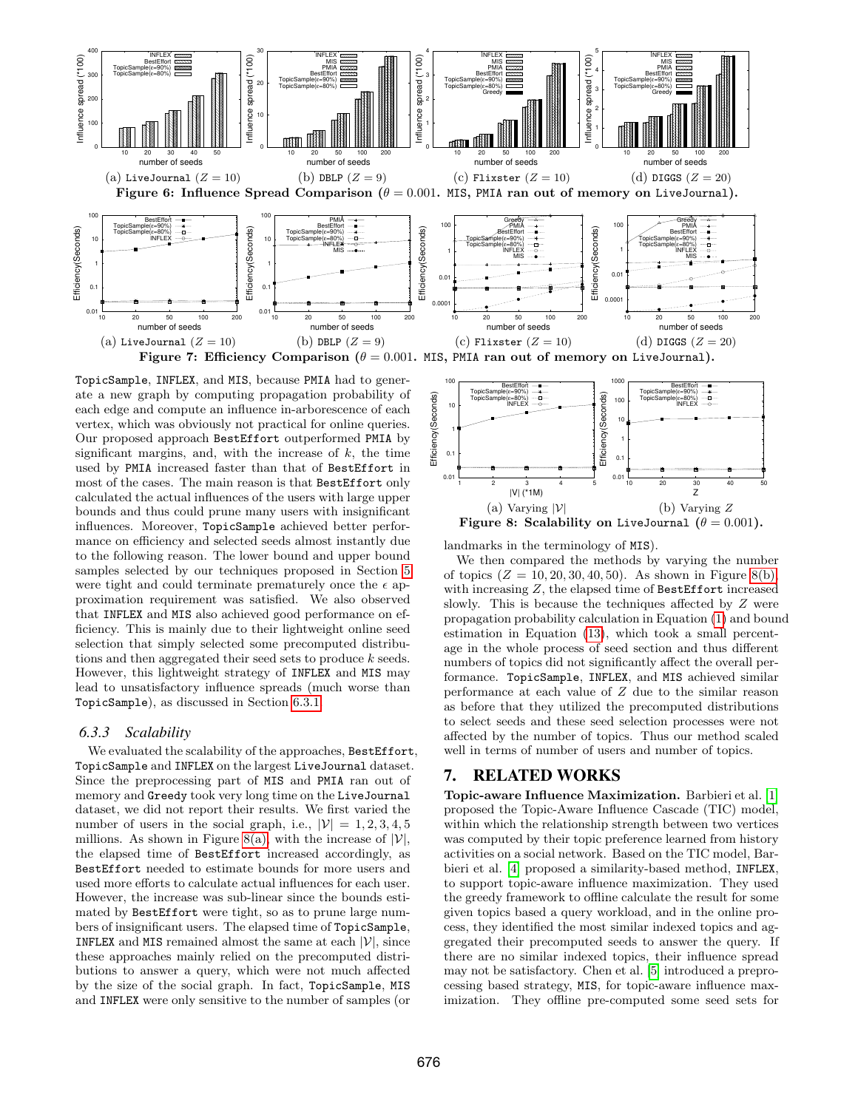<span id="page-10-1"></span>

<span id="page-10-4"></span>TopicSample, INFLEX, and MIS, because PMIA had to generate a new graph by computing propagation probability of each edge and compute an influence in-arborescence of each vertex, which was obviously not practical for online queries. Our proposed approach BestEffort outperformed PMIA by significant margins, and, with the increase of  $k$ , the time used by PMIA increased faster than that of BestEffort in most of the cases. The main reason is that BestEffort only calculated the actual influences of the users with large upper bounds and thus could prune many users with insignificant influences. Moreover, TopicSample achieved better performance on efficiency and selected seeds almost instantly due to the following reason. The lower bound and upper bound samples selected by our techniques proposed in Section [5](#page-7-0) were tight and could terminate prematurely once the  $\epsilon$  approximation requirement was satisfied. We also observed that INFLEX and MIS also achieved good performance on efficiency. This is mainly due to their lightweight online seed selection that simply selected some precomputed distributions and then aggregated their seed sets to produce k seeds. However, this lightweight strategy of INFLEX and MIS may lead to unsatisfactory influence spreads (much worse than TopicSample), as discussed in Section [6.3.1.](#page-9-3)

#### *6.3.3 Scalability*

We evaluated the scalability of the approaches, BestEffort, TopicSample and INFLEX on the largest LiveJournal dataset. Since the preprocessing part of MIS and PMIA ran out of memory and Greedy took very long time on the LiveJournal dataset, we did not report their results. We first varied the number of users in the social graph, i.e.,  $|\mathcal{V}| = 1, 2, 3, 4, 5$ millions. As shown in Figure [8\(a\),](#page-10-5) with the increase of  $|V|$ , the elapsed time of BestEffort increased accordingly, as BestEffort needed to estimate bounds for more users and used more efforts to calculate actual influences for each user. However, the increase was sub-linear since the bounds estimated by BestEffort were tight, so as to prune large numbers of insignificant users. The elapsed time of TopicSample, **INFLEX** and MIS remained almost the same at each  $|\mathcal{V}|$ , since these approaches mainly relied on the precomputed distributions to answer a query, which were not much affected by the size of the social graph. In fact, TopicSample, MIS and INFLEX were only sensitive to the number of samples (or

<span id="page-10-5"></span><span id="page-10-3"></span><span id="page-10-2"></span>

<span id="page-10-6"></span>landmarks in the terminology of MIS).

We then compared the methods by varying the number of topics  $(Z = 10, 20, 30, 40, 50)$ . As shown in Figure [8\(b\),](#page-10-6) with increasing Z, the elapsed time of BestEffort increased slowly. This is because the techniques affected by Z were propagation probability calculation in Equation [\(1\)](#page-1-4) and bound estimation in Equation [\(13\)](#page-6-5), which took a small percentage in the whole process of seed section and thus different numbers of topics did not significantly affect the overall performance. TopicSample, INFLEX, and MIS achieved similar performance at each value of Z due to the similar reason as before that they utilized the precomputed distributions to select seeds and these seed selection processes were not affected by the number of topics. Thus our method scaled well in terms of number of users and number of topics.

## <span id="page-10-0"></span>7. RELATED WORKS

Topic-aware Influence Maximization. Barbieri et al. [\[1\]](#page-11-4) proposed the Topic-Aware Influence Cascade (TIC) model, within which the relationship strength between two vertices was computed by their topic preference learned from history activities on a social network. Based on the TIC model, Barbieri et al. [\[4\]](#page-11-8) proposed a similarity-based method, INFLEX, to support topic-aware influence maximization. They used the greedy framework to offline calculate the result for some given topics based a query workload, and in the online process, they identified the most similar indexed topics and aggregated their precomputed seeds to answer the query. If there are no similar indexed topics, their influence spread may not be satisfactory. Chen et al. [\[5\]](#page-11-9) introduced a preprocessing based strategy, MIS, for topic-aware influence maximization. They offline pre-computed some seed sets for